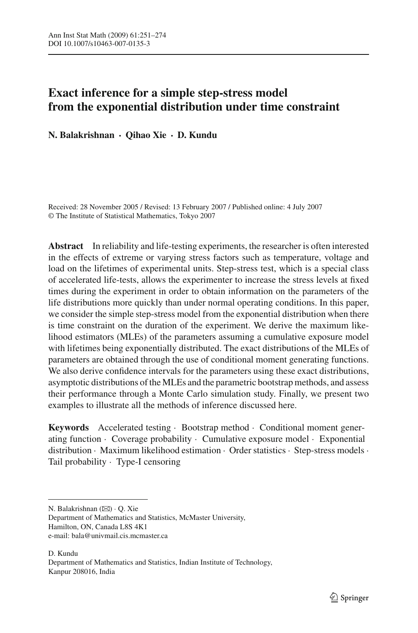# **Exact inference for a simple step-stress model from the exponential distribution under time constraint**

**N. Balakrishnan · Qihao Xie · D. Kundu**

Received: 28 November 2005 / Revised: 13 February 2007 / Published online: 4 July 2007 © The Institute of Statistical Mathematics, Tokyo 2007

**Abstract** In reliability and life-testing experiments, the researcher is often interested in the effects of extreme or varying stress factors such as temperature, voltage and load on the lifetimes of experimental units. Step-stress test, which is a special class of accelerated life-tests, allows the experimenter to increase the stress levels at fixed times during the experiment in order to obtain information on the parameters of the life distributions more quickly than under normal operating conditions. In this paper, we consider the simple step-stress model from the exponential distribution when there is time constraint on the duration of the experiment. We derive the maximum likelihood estimators (MLEs) of the parameters assuming a cumulative exposure model with lifetimes being exponentially distributed. The exact distributions of the MLEs of parameters are obtained through the use of conditional moment generating functions. We also derive confidence intervals for the parameters using these exact distributions, asymptotic distributions of the MLEs and the parametric bootstrap methods, and assess their performance through a Monte Carlo simulation study. Finally, we present two examples to illustrate all the methods of inference discussed here.

**Keywords** Accelerated testing · Bootstrap method · Conditional moment generating function · Coverage probability · Cumulative exposure model · Exponential distribution · Maximum likelihood estimation · Order statistics · Step-stress models · Tail probability · Type-I censoring

Department of Mathematics and Statistics, McMaster University, Hamilton, ON, Canada L8S 4K1 e-mail: bala@univmail.cis.mcmaster.ca

D. Kundu Department of Mathematics and Statistics, Indian Institute of Technology, Kanpur 208016, India

N. Balakrishnan (⊠) · Q. Xie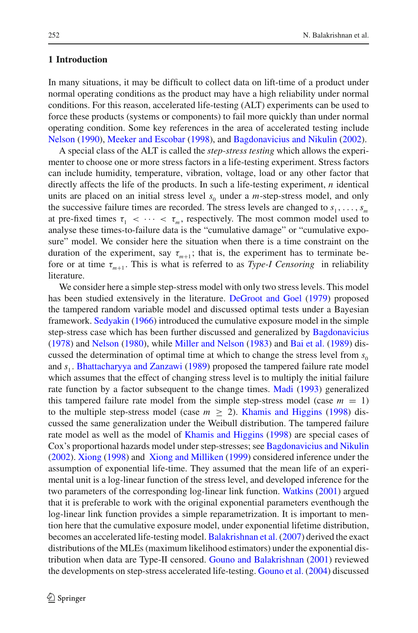## **1 Introduction**

In many situations, it may be difficult to collect data on lift-time of a product under normal operating conditions as the product may have a high reliability under normal conditions. For this reason, accelerated life-testing (ALT) experiments can be used to force these products (systems or components) to fail more quickly than under normal operating condition. Some key references in the area of accelerated testing include [Nelson](#page-23-0) [\(1990\)](#page-23-0), [Meeker and Escobar](#page-22-0) [\(1998](#page-22-0)), and [Bagdonavicius and Nikulin](#page-22-1) [\(2002](#page-22-1)).

A special class of the ALT is called the *step-stress testing* which allows the experimenter to choose one or more stress factors in a life-testing experiment. Stress factors can include humidity, temperature, vibration, voltage, load or any other factor that directly affects the life of the products. In such a life-testing experiment, *n* identical units are placed on an initial stress level  $s_0$  under a *m*-step-stress model, and only the successive failure times are recorded. The stress levels are changed to  $s_1, \ldots, s_m$ at pre-fixed times  $\tau_1 < \cdots < \tau_m$ , respectively. The most common model used to analyse these times-to-failure data is the "cumulative damage" or "cumulative exposure" model. We consider here the situation when there is a time constraint on the duration of the experiment, say  $\tau_{m+1}$ ; that is, the experiment has to terminate before or at time  $\tau_{m+1}$ . This is what is referred to as *Type-I Censoring* in reliability literature.

We consider here a simple step-stress model with only two stress levels. This model has been studied extensively in the literature. [DeGroot and Goel](#page-22-2) [\(1979](#page-22-2)) proposed the tampered random variable model and discussed optimal tests under a Bayesian framework. [Sedyakin](#page-23-1) [\(1966](#page-23-1)) introduced the cumulative exposure model in the simple step-stress case which has been further discussed and generalized by [Bagdonavicius](#page-22-3) [\(1978\)](#page-22-3) and [Nelson](#page-23-2) [\(1980\)](#page-23-2), while [Miller and Nelson](#page-22-4) [\(1983\)](#page-22-4) and [Bai et al.](#page-22-5) [\(1989](#page-22-5)) discussed the determination of optimal time at which to change the stress level from  $s_0$ and *s*<sup>1</sup> . [Bhattacharyya and Zanzawi](#page-22-6) [\(1989\)](#page-22-6) proposed the tampered failure rate model which assumes that the effect of changing stress level is to multiply the initial failure rate function by a factor subsequent to the change times. [Madi](#page-22-7) [\(1993](#page-22-7)) generalized this tampered failure rate model from the simple step-stress model (case  $m = 1$ ) to the multiple step-stress model (case  $m \geq 2$ ). [Khamis and Higgins](#page-22-8) [\(1998\)](#page-22-8) discussed the same generalization under the Weibull distribution. The tampered failure rate model as well as the model of [Khamis and Higgins](#page-22-8) [\(1998](#page-22-8)) are special cases of Cox's proportional hazards model under step-stresses; see [Bagdonavicius and Nikulin](#page-22-1) [\(2002\)](#page-22-1). [Xiong](#page-23-3) [\(1998](#page-23-3)) and [Xiong and Milliken](#page-23-4) [\(1999\)](#page-23-4) considered inference under the assumption of exponential life-time. They assumed that the mean life of an experimental unit is a log-linear function of the stress level, and developed inference for the two parameters of the corresponding log-linear link function. [Watkins](#page-23-5) [\(2001](#page-23-5)) argued that it is preferable to work with the original exponential parameters eventhough the log-linear link function provides a simple reparametrization. It is important to mention here that the cumulative exposure model, under exponential lifetime distribution, becomes an accelerated life-testing model. [Balakrishnan et al.](#page-22-9) [\(2007\)](#page-22-9) derived the exact distributions of the MLEs (maximum likelihood estimators) under the exponential distribution when data are Type-II censored. [Gouno and Balakrishnan](#page-22-10) [\(2001\)](#page-22-10) reviewed the developments on step-stress accelerated life-testing. [Gouno et al.](#page-22-11) [\(2004\)](#page-22-11) discussed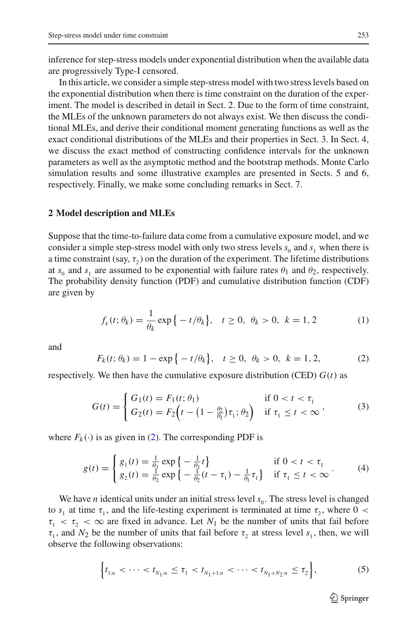inference for step-stress models under exponential distribution when the available data are progressively Type-I censored.

In this article, we consider a simple step-stress model with two stress levels based on the exponential distribution when there is time constraint on the duration of the experiment. The model is described in detail in Sect. 2. Due to the form of time constraint, the MLEs of the unknown parameters do not always exist. We then discuss the conditional MLEs, and derive their conditional moment generating functions as well as the exact conditional distributions of the MLEs and their properties in Sect. 3. In Sect. 4, we discuss the exact method of constructing confidence intervals for the unknown parameters as well as the asymptotic method and the bootstrap methods. Monte Carlo simulation results and some illustrative examples are presented in Sects. 5 and 6, respectively. Finally, we make some concluding remarks in Sect. 7.

#### **2 Model description and MLEs**

Suppose that the time-to-failure data come from a cumulative exposure model, and we consider a simple step-stress model with only two stress levels  $s_0$  and  $s_1$  when there is a time constraint (say,  $\tau$ ) on the duration of the experiment. The lifetime distributions at  $s_0$  and  $s_1$  are assumed to be exponential with failure rates  $\theta_1$  and  $\theta_2$ , respectively. The probability density function (PDF) and cumulative distribution function (CDF) are given by

$$
f_k(t; \theta_k) = \frac{1}{\theta_k} \exp\{-t/\theta_k\}, \quad t \ge 0, \ \theta_k > 0, \ k = 1, 2 \tag{1}
$$

<span id="page-2-0"></span>and

<span id="page-2-2"></span>
$$
F_k(t; \theta_k) = 1 - \exp\{-t/\theta_k\}, \quad t \ge 0, \ \theta_k > 0, \ k = 1, 2,
$$
 (2)

respectively. We then have the cumulative exposure distribution (CED)  $G(t)$  as

<span id="page-2-3"></span>
$$
G(t) = \begin{cases} G_1(t) = F_1(t; \theta_1) & \text{if } 0 < t < \tau_1 \\ G_2(t) = F_2(t) - (1 - \frac{\theta_2}{\theta_1})\tau_1; \theta_2 & \text{if } \tau_1 \le t < \infty \end{cases}
$$
 (3)

where  $F_k(\cdot)$  is as given in [\(2\)](#page-2-0). The corresponding PDF is

$$
g(t) = \begin{cases} g_1(t) = \frac{1}{\theta_1} \exp\left\{-\frac{1}{\theta_1}t\right\} & \text{if } 0 < t < \tau_1 \\ g_2(t) = \frac{1}{\theta_2} \exp\left\{-\frac{1}{\theta_2}(t - \tau_1) - \frac{1}{\theta_1}\tau_1\right\} & \text{if } \tau_1 \le t < \infty \end{cases} (4)
$$

We have *n* identical units under an initial stress level  $s<sub>0</sub>$ . The stress level is changed to  $s_1$  at time  $\tau_1$ , and the life-testing experiment is terminated at time  $\tau_2$ , where 0 <  $\tau_1 < \tau_2 < \infty$  are fixed in advance. Let  $N_1$  be the number of units that fail before  $\tau_1$ , and  $N_2$  be the number of units that fail before  $\tau_2$  at stress level  $s_1$ , then, we will observe the following observations:

<span id="page-2-1"></span>
$$
\left\{t_{1:n} < \cdots < t_{N_1:n} \leq \tau_1 < t_{N_1+1:n} < \cdots < t_{N_1+N_2:n} \leq \tau_2\right\},\tag{5}
$$

 $\mathcal{D}$  Springer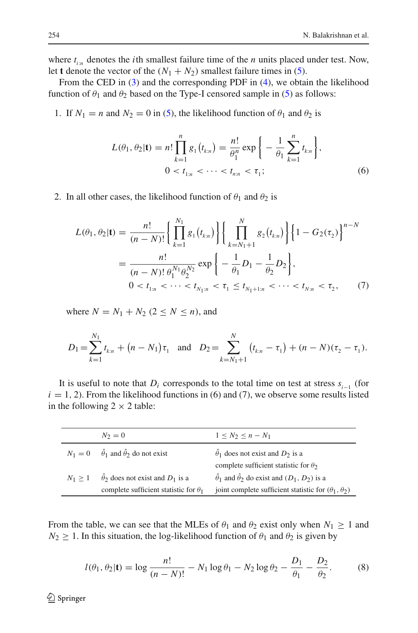where  $t_{i:n}$  denotes the *i*th smallest failure time of the *n* units placed under test. Now, let **t** denote the vector of the  $(N_1 + N_2)$  smallest failure times in [\(5\)](#page-2-1).

From the CED in [\(3\)](#page-2-2) and the corresponding PDF in [\(4\)](#page-2-3), we obtain the likelihood function of  $\theta_1$  and  $\theta_2$  based on the Type-I censored sample in [\(5\)](#page-2-1) as follows:

1. If  $N_1 = n$  and  $N_2 = 0$  in [\(5\)](#page-2-1), the likelihood function of  $\theta_1$  and  $\theta_2$  is

$$
L(\theta_1, \theta_2 | \mathbf{t}) = n! \prod_{k=1}^n g_1(t_{k:n}) = \frac{n!}{\theta_1^n} \exp \left\{ -\frac{1}{\theta_1} \sum_{k=1}^n t_{k:n} \right\},
$$
  
0 < t<sub>1:n</sub> < \cdots < t<sub>n:n</sub> < \tau\_1; (6)

2. In all other cases, the likelihood function of  $\theta_1$  and  $\theta_2$  is

$$
L(\theta_1, \theta_2 | \mathbf{t}) = \frac{n!}{(n - N)!} \left\{ \prod_{k=1}^{N_1} g_1(t_{k:n}) \right\} \left\{ \prod_{k=N_1+1}^{N} g_2(t_{k:n}) \right\} \left\{ 1 - G_2(\tau_2) \right\}^{n - N}
$$
  
= 
$$
\frac{n!}{(n - N)!} \frac{n!}{\theta_1^{N_1} \theta_2^{N_2}} \exp \left\{ -\frac{1}{\theta_1} D_1 - \frac{1}{\theta_2} D_2 \right\},
$$
  

$$
0 < t_{1:n} < \cdots < t_{N_1:n} < \tau_1 \le t_{N_1+1:n} < \cdots < t_{N:n} < \tau_2,
$$
 (7)

where  $N = N_1 + N_2$  ( $2 \le N \le n$ ), and

$$
D_1 = \sum_{k=1}^{N_1} t_{k:n} + (n - N_1) \tau_1 \text{ and } D_2 = \sum_{k=N_1+1}^{N} (t_{k:n} - \tau_1) + (n - N)(\tau_2 - \tau_1).
$$

It is useful to note that  $D_i$  corresponds to the total time on test at stress  $s_{i-1}$  (for  $i = 1, 2$ ). From the likelihood functions in (6) and (7), we observe some results listed in the following  $2 \times 2$  table:

|           | $N_2=0$                                                                                      | $1 \leq N_2 \leq n - N_1$                                                                                                              |
|-----------|----------------------------------------------------------------------------------------------|----------------------------------------------------------------------------------------------------------------------------------------|
|           | $N_1 = 0$ $\hat{\theta}_1$ and $\hat{\theta}_2$ do not exist                                 | $\ddot{\theta}_1$ does not exist and $D_2$ is a<br>complete sufficient statistic for $\theta_2$                                        |
| $N_1 > 1$ | $\hat{\theta}$ does not exist and $D_1$ is a<br>complete sufficient statistic for $\theta_1$ | $\hat{\theta}_1$ and $\hat{\theta}_2$ do exist and $(D_1, D_2)$ is a<br>joint complete sufficient statistic for $(\theta_1, \theta_2)$ |

From the table, we can see that the MLEs of  $\theta_1$  and  $\theta_2$  exist only when  $N_1 \geq 1$  and  $N_2 \geq 1$ . In this situation, the log-likelihood function of  $\theta_1$  and  $\theta_2$  is given by

$$
l(\theta_1, \theta_2 | \mathbf{t}) = \log \frac{n!}{(n - N)!} - N_1 \log \theta_1 - N_2 \log \theta_2 - \frac{D_1}{\theta_1} - \frac{D_2}{\theta_2}.
$$
 (8)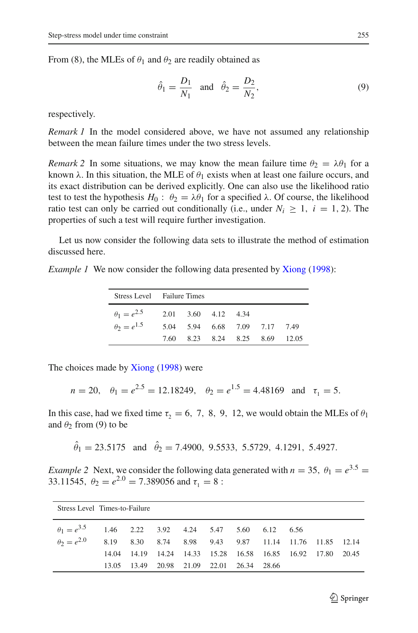From (8), the MLEs of  $\theta_1$  and  $\theta_2$  are readily obtained as

<span id="page-4-0"></span>
$$
\hat{\theta}_1 = \frac{D_1}{N_1} \quad \text{and} \quad \hat{\theta}_2 = \frac{D_2}{N_2},\tag{9}
$$

respectively.

*Remark 1* In the model considered above, we have not assumed any relationship between the mean failure times under the two stress levels.

*Remark 2* In some situations, we may know the mean failure time  $\theta_2 = \lambda \theta_1$  for a known  $\lambda$ . In this situation, the MLE of  $\theta_1$  exists when at least one failure occurs, and its exact distribution can be derived explicitly. One can also use the likelihood ratio test to test the hypothesis  $H_0: \theta_2 = \lambda \theta_1$  for a specified  $\lambda$ . Of course, the likelihood ratio test can only be carried out conditionally (i.e., under  $N_i \geq 1$ ,  $i = 1, 2$ ). The properties of such a test will require further investigation.

Let us now consider the following data sets to illustrate the method of estimation discussed here.

*Example 1* We now consider the following data presented by [Xiong](#page-23-3) [\(1998\)](#page-23-3):

|                      | Stress Level Failure Times |                     |  |                               |  |       |  |  |
|----------------------|----------------------------|---------------------|--|-------------------------------|--|-------|--|--|
| $\theta_1 = e^{2.5}$ |                            | 2.01 3.60 4.12 4.34 |  |                               |  |       |  |  |
| $\theta_2 = e^{1.5}$ |                            |                     |  | 5.04 5.94 6.68 7.09 7.17 7.49 |  |       |  |  |
|                      |                            |                     |  | 7.60 8.23 8.24 8.25 8.69      |  | 12.05 |  |  |

The choices made by [Xiong](#page-23-3) [\(1998](#page-23-3)) were

$$
n = 20
$$
,  $\theta_1 = e^{2.5} = 12.18249$ ,  $\theta_2 = e^{1.5} = 4.48169$  and  $\tau_1 = 5$ .

In this case, had we fixed time  $\tau_2 = 6, 7, 8, 9, 12$ , we would obtain the MLEs of  $\theta_1$ and  $\theta_2$  from (9) to be

 $\hat{\theta}_1 = 23.5175$  and  $\hat{\theta}_2 = 7.4900, 9.5533, 5.5729, 4.1291, 5.4927.$ 

*Example 2* Next, we consider the following data generated with  $n = 35$ ,  $\theta_1 = e^{3.5}$ 33.11545,  $\theta_2 = e^{2.0} = 7.389056$  and  $\tau_1 = 8$ :

| Stress Level Times-to-Failure                                              |       |  |  |  |  |                                     |  |  |                                                             |  |
|----------------------------------------------------------------------------|-------|--|--|--|--|-------------------------------------|--|--|-------------------------------------------------------------|--|
| $heta = e^{3.5}$ 1.46 2.22 3.92 4.24 5.47 5.60 6.12 6.56                   |       |  |  |  |  |                                     |  |  |                                                             |  |
| $\theta_2 = e^{2.0}$ 8.19 8.30 8.74 8.98 9.43 9.87 11.14 11.76 11.85 12.14 |       |  |  |  |  |                                     |  |  |                                                             |  |
|                                                                            |       |  |  |  |  |                                     |  |  | 14.04 14.19 14.24 14.33 15.28 16.58 16.85 16.92 17.80 20.45 |  |
|                                                                            | 13.05 |  |  |  |  | 13.49 20.98 21.09 22.01 26.34 28.66 |  |  |                                                             |  |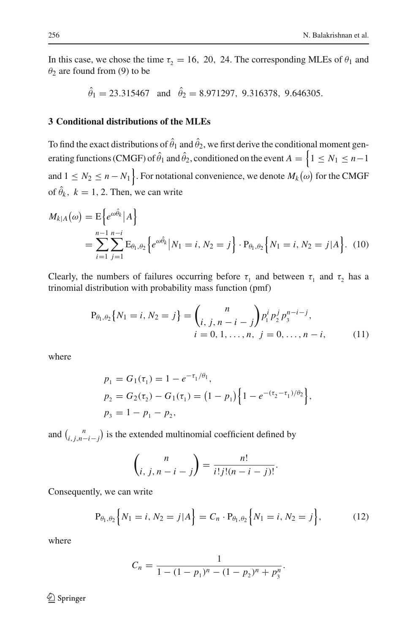In this case, we chose the time  $\tau_2 = 16$ , 20, 24. The corresponding MLEs of  $\theta_1$  and  $\theta_2$  are found from (9) to be

$$
\hat{\theta}_1 = 23.315467
$$
 and  $\hat{\theta}_2 = 8.971297$ , 9.316378, 9.646305.

# **3 Conditional distributions of the MLEs**

To find the exact distributions of  $\hat{\theta}_1$  and  $\hat{\theta}_2$ , we first derive the conditional moment generating functions (CMGF) of  $\hat{\theta}_1$  and  $\hat{\theta}_2$ , conditioned on the event  $A = \left\{1 \leq N_1 \leq n-1\right\}$ and  $1 \leq N_2 \leq n - N_1$ . For notational convenience, we denote  $M_k(\omega)$  for the CMGF of  $\hat{\theta}_k$ ,  $k = 1, 2$ . Then, we can write

<span id="page-5-2"></span>
$$
M_{k|A}(\omega) = \mathbb{E}\Big\{e^{\omega \hat{\theta}_k} |A\Big\}
$$
  
=  $\sum_{i=1}^{n-1} \sum_{j=1}^{n-i} \mathbb{E}_{\theta_1, \theta_2} \Big\{e^{\omega \hat{\theta}_k} | N_1 = i, N_2 = j\Big\} \cdot P_{\theta_1, \theta_2} \Big\{N_1 = i, N_2 = j | A\Big\}.$  (10)

<span id="page-5-0"></span>Clearly, the numbers of failures occurring before  $\tau_1$  and between  $\tau_1$  and  $\tau_2$  has a trinomial distribution with probability mass function (pmf)

$$
P_{\theta_1, \theta_2} \{ N_1 = i, N_2 = j \} = {n \choose i, j, n-i-j} p_1^i p_2^j p_3^{n-i-j},
$$
  
  $i = 0, 1, ..., n, j = 0, ..., n-i,$  (11)

where

$$
p_1 = G_1(\tau_1) = 1 - e^{-\tau_1/\theta_1},
$$
  
\n
$$
p_2 = G_2(\tau_2) - G_1(\tau_1) = (1 - p_1) \{1 - e^{-(\tau_2 - \tau_1)/\theta_2}\},
$$
  
\n
$$
p_3 = 1 - p_1 - p_2,
$$

and  $\binom{n}{i,j,n-i-j}$  is the extended multinomial coefficient defined by

$$
\binom{n}{i, j, n-i-j} = \frac{n!}{i!j!(n-i-j)!}.
$$

<span id="page-5-1"></span>Consequently, we can write

$$
P_{\theta_1, \theta_2} \left\{ N_1 = i, N_2 = j | A \right\} = C_n \cdot P_{\theta_1, \theta_2} \left\{ N_1 = i, N_2 = j \right\},\tag{12}
$$

where

$$
C_n = \frac{1}{1 - (1 - p_1)^n - (1 - p_2)^n + p_3^n}.
$$

<sup>2</sup> Springer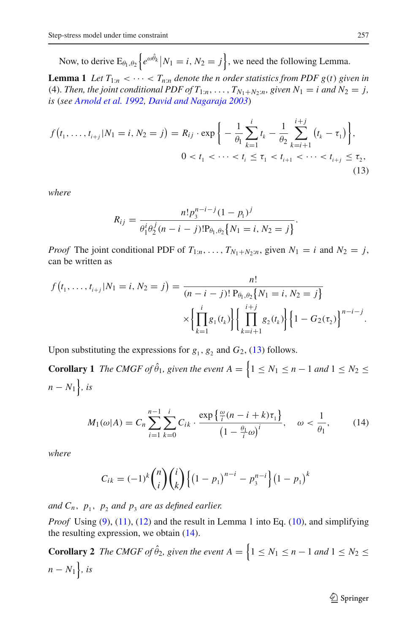Now, to derive  $E_{\theta_1, \theta_2} \left\{ e^{\omega \hat{\theta}_k} \middle| N_1 = i, N_2 = j \right\}$ , we need the following Lemma.

**Lemma 1** *Let*  $T_{1:n} < \cdots < T_{n:n}$  *denote the n order statistics from PDF g(t) given in* (4). Then, the joint conditional PDF of  $T_{1:n}, \ldots, T_{N_1+N_2:n}$ , given  $N_1 = i$  and  $N_2 = j$ , *is* (*see [Arnold et al. 1992](#page-22-12), [David and Nagaraja 2003](#page-22-13)*)

<span id="page-6-0"></span>
$$
f(t_1, ..., t_{i+j}|N_1 = i, N_2 = j) = R_{ij} \cdot \exp\bigg\{-\frac{1}{\theta_1} \sum_{k=1}^i t_k - \frac{1}{\theta_2} \sum_{k=i+1}^{i+j} (t_k - \tau_1)\bigg\},
$$
  

$$
0 < t_1 < \cdots < t_i \leq \tau_1 < t_{i+1} < \cdots < t_{i+j} \leq \tau_2,
$$
\n
$$
(13)
$$

*where*

$$
R_{ij} = \frac{n! p_3^{n-i-j} (1-p_1)^j}{\theta_1^i \theta_2^j (n-i-j)! P_{\theta_1, \theta_2} \{N_1 = i, N_2 = j\}}.
$$

*Proof* The joint conditional PDF of  $T_{1:n}, \ldots, T_{N_1+N_2:n}$ , given  $N_1 = i$  and  $N_2 = j$ , can be written as

$$
f(t_1, ..., t_{i+j}|N_1 = i, N_2 = j) = \frac{n!}{(n-i-j)! P_{\theta_1, \theta_2} \{N_1 = i, N_2 = j\}}
$$

$$
\times \left\{ \prod_{k=1}^i g_1(t_k) \right\} \left\{ \prod_{k=i+1}^{i+j} g_2(t_k) \right\} \left\{ 1 - G_2(\tau_2) \right\}^{n-i-j}.
$$

Upon substituting the expressions for  $g_1$ ,  $g_2$  and  $G_2$ , [\(13\)](#page-6-0) follows.

<span id="page-6-1"></span>**Corollary 1** *The CMGF of*  $\hat{\theta}_1$ *, given the event A* =  $\left\{1 \leq N_1 \leq n-1 \text{ and } 1 \leq N_2 \leq n\right\}$  $n - N_1$ , *is* 

$$
M_1(\omega|A) = C_n \sum_{i=1}^{n-1} \sum_{k=0}^i C_{ik} \cdot \frac{\exp\left\{\frac{\omega}{i}(n-i+k)\tau_1\right\}}{\left(1 - \frac{\theta_1}{i}\omega\right)^i}, \quad \omega < \frac{1}{\theta_1},\qquad(14)
$$

*where*

$$
C_{ik} = (-1)^k {n \choose i} {i \choose k} \{ (1-p_1)^{n-i} - p_3^{n-i} \} (1-p_1)^k
$$

*and*  $C_n$ ,  $p_1$ ,  $p_2$  *and*  $p_3$  *are as defined earlier.* 

*Proof* Using [\(9\)](#page-4-0), [\(11\)](#page-5-0), [\(12\)](#page-5-1) and the result in Lemma 1 into Eq. [\(10\)](#page-5-2), and simplifying the resulting expression, we obtain [\(14\)](#page-6-1).

<span id="page-6-2"></span>**Corollary 2** *The CMGF of*  $\hat{\theta}_2$ *, given the event A* =  $\{1 \leq N_1 \leq n-1 \text{ and } 1 \leq N_2 \leq n\}$  $n - N_1$ , *is*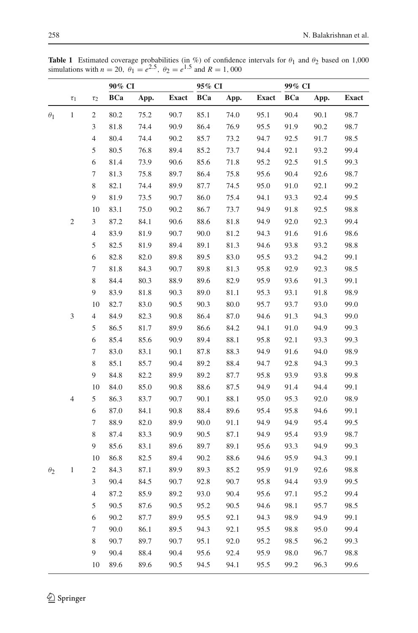|            |                         |                | 90% CI     |      | 95% CI       |            |      | 99% CI       |            |      |              |
|------------|-------------------------|----------------|------------|------|--------------|------------|------|--------------|------------|------|--------------|
|            | $\tau_1$                | $\tau_2$       | <b>BCa</b> | App. | <b>Exact</b> | <b>BCa</b> | App. | <b>Exact</b> | <b>BCa</b> | App. | <b>Exact</b> |
| $\theta_1$ | $\mathbf{1}$            | $\overline{c}$ | 80.2       | 75.2 | 90.7         | 85.1       | 74.0 | 95.1         | 90.4       | 90.1 | 98.7         |
|            |                         | 3              | 81.8       | 74.4 | 90.9         | 86.4       | 76.9 | 95.5         | 91.9       | 90.2 | 98.7         |
|            |                         | $\overline{4}$ | 80.4       | 74.4 | 90.2         | 85.7       | 73.2 | 94.7         | 92.5       | 91.7 | 98.5         |
|            |                         | 5              | 80.5       | 76.8 | 89.4         | 85.2       | 73.7 | 94.4         | 92.1       | 93.2 | 99.4         |
|            |                         | 6              | 81.4       | 73.9 | 90.6         | 85.6       | 71.8 | 95.2         | 92.5       | 91.5 | 99.3         |
|            |                         | 7              | 81.3       | 75.8 | 89.7         | 86.4       | 75.8 | 95.6         | 90.4       | 92.6 | 98.7         |
|            |                         | 8              | 82.1       | 74.4 | 89.9         | 87.7       | 74.5 | 95.0         | 91.0       | 92.1 | 99.2         |
|            |                         | 9              | 81.9       | 73.5 | 90.7         | 86.0       | 75.4 | 94.1         | 93.3       | 92.4 | 99.5         |
|            |                         | 10             | 83.1       | 75.0 | 90.2         | 86.7       | 73.7 | 94.9         | 91.8       | 92.5 | 98.8         |
|            | $\overline{\mathbf{c}}$ | 3              | 87.2       | 84.1 | 90.6         | 88.6       | 81.8 | 94.9         | 92.0       | 92.3 | 99.4         |
|            |                         | $\overline{4}$ | 83.9       | 81.9 | 90.7         | 90.0       | 81.2 | 94.3         | 91.6       | 91.6 | 98.6         |
|            |                         | 5              | 82.5       | 81.9 | 89.4         | 89.1       | 81.3 | 94.6         | 93.8       | 93.2 | 98.8         |
|            |                         | 6              | 82.8       | 82.0 | 89.8         | 89.5       | 83.0 | 95.5         | 93.2       | 94.2 | 99.1         |
|            |                         | 7              | 81.8       | 84.3 | 90.7         | 89.8       | 81.3 | 95.8         | 92.9       | 92.3 | 98.5         |
|            |                         | 8              | 84.4       | 80.3 | 88.9         | 89.6       | 82.9 | 95.9         | 93.6       | 91.3 | 99.1         |
|            |                         | 9              | 83.9       | 81.8 | 90.3         | 89.0       | 81.1 | 95.3         | 93.1       | 91.8 | 98.9         |
|            |                         | 10             | 82.7       | 83.0 | 90.5         | 90.3       | 80.0 | 95.7         | 93.7       | 93.0 | 99.0         |
|            | 3                       | $\overline{4}$ | 84.9       | 82.3 | 90.8         | 86.4       | 87.0 | 94.6         | 91.3       | 94.3 | 99.0         |
|            |                         | 5              | 86.5       | 81.7 | 89.9         | 86.6       | 84.2 | 94.1         | 91.0       | 94.9 | 99.3         |
|            |                         | 6              | 85.4       | 85.6 | 90.9         | 89.4       | 88.1 | 95.8         | 92.1       | 93.3 | 99.3         |
|            |                         | 7              | 83.0       | 83.1 | 90.1         | 87.8       | 88.3 | 94.9         | 91.6       | 94.0 | 98.9         |
|            |                         | 8              | 85.1       | 85.7 | 90.4         | 89.2       | 88.4 | 94.7         | 92.8       | 94.3 | 99.3         |
|            |                         | 9              | 84.8       | 82.2 | 89.9         | 89.2       | 87.7 | 95.8         | 93.9       | 93.8 | 99.8         |
|            |                         | 10             | 84.0       | 85.0 | 90.8         | 88.6       | 87.5 | 94.9         | 91.4       | 94.4 | 99.1         |
|            | 4                       | 5              | 86.3       | 83.7 | 90.7         | 90.1       | 88.1 | 95.0         | 95.3       | 92.0 | 98.9         |
|            |                         | 6              | 87.0       | 84.1 | 90.8         | 88.4       | 89.6 | 95.4         | 95.8       | 94.6 | 99.1         |
|            |                         | 7              | 88.9       | 82.0 | 89.9         | 90.0       | 91.1 | 94.9         | 94.9       | 95.4 | 99.5         |
|            |                         | 8              | 87.4       | 83.3 | 90.9         | 90.5       | 87.1 | 94.9         | 95.4       | 93.9 | 98.7         |
|            |                         | 9              | 85.6       | 83.1 | 89.6         | 89.7       | 89.1 | 95.6         | 93.3       | 94.9 | 99.3         |
|            |                         | 10             | 86.8       | 82.5 | 89.4         | 90.2       | 88.6 | 94.6         | 95.9       | 94.3 | 99.1         |
| $\theta_2$ | 1                       | $\mathfrak{2}$ | 84.3       | 87.1 | 89.9         | 89.3       | 85.2 | 95.9         | 91.9       | 92.6 | 98.8         |
|            |                         | 3              | 90.4       | 84.5 | 90.7         | 92.8       | 90.7 | 95.8         | 94.4       | 93.9 | 99.5         |
|            |                         | $\overline{4}$ | 87.2       | 85.9 | 89.2         | 93.0       | 90.4 | 95.6         | 97.1       | 95.2 | 99.4         |
|            |                         | 5              | 90.5       | 87.6 | 90.5         | 95.2       | 90.5 | 94.6         | 98.1       | 95.7 | 98.5         |
|            |                         | 6              | 90.2       | 87.7 | 89.9         | 95.5       | 92.1 | 94.3         | 98.9       | 94.9 | 99.1         |
|            |                         | 7              | 90.0       | 86.1 | 89.5         | 94.3       | 92.1 | 95.5         | 98.8       | 95.0 | 99.4         |
|            |                         | 8              | 90.7       | 89.7 | 90.7         | 95.1       | 92.0 | 95.2         | 98.5       | 96.2 | 99.3         |
|            |                         | 9              | 90.4       | 88.4 | 90.4         | 95.6       | 92.4 | 95.9         | 98.0       | 96.7 | 98.8         |
|            |                         | 10             | 89.6       | 89.6 | 90.5         | 94.5       | 94.1 | 95.5         | 99.2       | 96.3 | 99.6         |

<span id="page-7-0"></span>**Table 1** Estimated coverage probabilities (in %) of confidence intervals for  $\theta_1$  and  $\theta_2$  based on 1,000 simulations with  $n = 20$ ,  $\theta_1 = e^{2.5}$ ,  $\theta_2 = e^{1.5}$  and  $R = 1,000$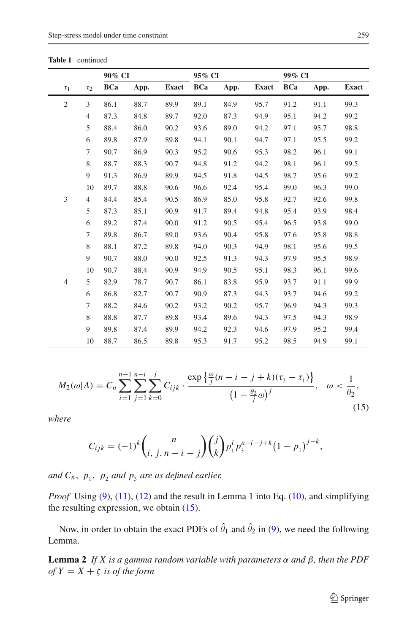|                |                | 90% CI     |      |              | 95% CI     |      |              | 99% CI     |      |              |
|----------------|----------------|------------|------|--------------|------------|------|--------------|------------|------|--------------|
| $\tau_1$       | $\tau_2$       | <b>BCa</b> | App. | <b>Exact</b> | <b>BCa</b> | App. | <b>Exact</b> | <b>BCa</b> | App. | <b>Exact</b> |
| $\overline{2}$ | 3              | 86.1       | 88.7 | 89.9         | 89.1       | 84.9 | 95.7         | 91.2       | 91.1 | 99.3         |
|                | $\overline{4}$ | 87.3       | 84.8 | 89.7         | 92.0       | 87.3 | 94.9         | 95.1       | 94.2 | 99.2         |
|                | 5              | 88.4       | 86.0 | 90.2         | 93.6       | 89.0 | 94.2         | 97.1       | 95.7 | 98.8         |
|                | 6              | 89.8       | 87.9 | 89.8         | 94.1       | 90.1 | 94.7         | 97.1       | 95.5 | 99.2         |
|                | 7              | 90.7       | 86.9 | 90.3         | 95.2       | 90.6 | 95.3         | 98.2       | 96.1 | 99.1         |
|                | 8              | 88.7       | 88.3 | 90.7         | 94.8       | 91.2 | 94.2         | 98.1       | 96.1 | 99.5         |
|                | 9              | 91.3       | 86.9 | 89.9         | 94.5       | 91.8 | 94.5         | 98.7       | 95.6 | 99.2         |
|                | 10             | 89.7       | 88.8 | 90.6         | 96.6       | 92.4 | 95.4         | 99.0       | 96.3 | 99.0         |
| 3              | $\overline{4}$ | 84.4       | 85.4 | 90.5         | 86.9       | 85.0 | 95.8         | 92.7       | 92.6 | 99.8         |
|                | 5              | 87.3       | 85.1 | 90.9         | 91.7       | 89.4 | 94.8         | 95.4       | 93.9 | 98.4         |
|                | 6              | 89.2       | 87.4 | 90.0         | 91.2       | 90.5 | 95.4         | 96.5       | 93.8 | 99.0         |
|                | 7              | 89.8       | 86.7 | 89.0         | 93.6       | 90.4 | 95.8         | 97.6       | 95.8 | 98.8         |
|                | 8              | 88.1       | 87.2 | 89.8         | 94.0       | 90.3 | 94.9         | 98.1       | 95.6 | 99.5         |
|                | 9              | 90.7       | 88.0 | 90.0         | 92.5       | 91.3 | 94.3         | 97.9       | 95.5 | 98.9         |
|                | 10             | 90.7       | 88.4 | 90.9         | 94.9       | 90.5 | 95.1         | 98.3       | 96.1 | 99.6         |
| 4              | 5              | 82.9       | 78.7 | 90.7         | 86.1       | 83.8 | 95.9         | 93.7       | 91.1 | 99.9         |
|                | 6              | 86.8       | 82.7 | 90.7         | 90.9       | 87.3 | 94.3         | 93.7       | 94.6 | 99.2         |
|                | 7              | 88.2       | 84.6 | 90.2         | 93.2       | 90.2 | 95.7         | 96.9       | 94.3 | 99.3         |
|                | 8              | 88.8       | 87.7 | 89.8         | 93.4       | 89.6 | 94.3         | 97.5       | 94.3 | 98.9         |
|                | 9              | 89.8       | 87.4 | 89.9         | 94.2       | 92.3 | 94.6         | 97.9       | 95.2 | 99.4         |
|                | 10             | 88.7       | 86.5 | 89.8         | 95.3       | 91.7 | 95.2         | 98.5       | 94.9 | 99.1         |

$$
M_2(\omega|A) = C_n \sum_{i=1}^{n-1} \sum_{j=1}^{n-i} \sum_{k=0}^j C_{ijk} \cdot \frac{\exp\left\{\frac{\omega}{j}(n-i-j+k)(\tau_2 - \tau_1)\right\}}{(1 - \frac{\theta_2}{j}\omega)^j}, \quad \omega < \frac{1}{\theta_2},\tag{15}
$$

*where*

$$
C_{ijk} = (-1)^k {n \choose i, j, n-i-j} {j \choose k} p_1^i p_3^{n-i-j+k} (1-p_1)^{j-k},
$$

*and*  $C_n$ ,  $p_1$ ,  $p_2$  *and*  $p_3$  *are as defined earlier.* 

*Proof* Using [\(9\)](#page-4-0), [\(11\)](#page-5-0), [\(12\)](#page-5-1) and the result in Lemma 1 into Eq. [\(10\)](#page-5-2), and simplifying the resulting expression, we obtain [\(15\)](#page-6-2).

Now, in order to obtain the exact PDFs of  $\hat{\theta}_1$  and  $\hat{\theta}_2$  in [\(9\)](#page-4-0), we need the following Lemma.

**Lemma 2** *If X is a gamma random variable with parameters* α *and* β*, then the PDF of*  $Y = X + \zeta$  *is of the form*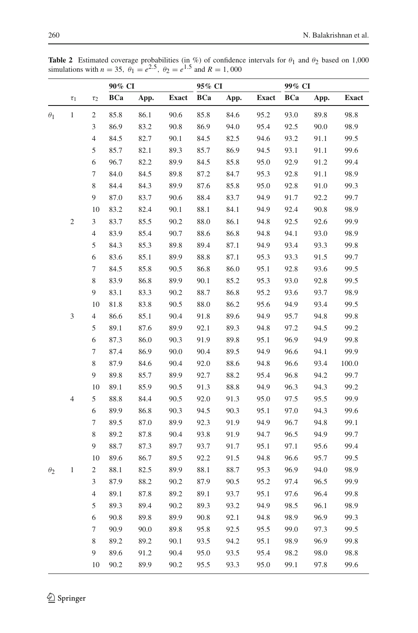|            |                  |                         | 90% CI<br>95% CI |      |              | 99% CI     |      |              |            |      |              |
|------------|------------------|-------------------------|------------------|------|--------------|------------|------|--------------|------------|------|--------------|
|            | $\tau_1$         | $\tau_2$                | <b>BCa</b>       | App. | <b>Exact</b> | <b>BCa</b> | App. | <b>Exact</b> | <b>BCa</b> | App. | <b>Exact</b> |
| $\theta_1$ | $\mathbf{1}$     | $\mathbf{2}$            | 85.8             | 86.1 | 90.6         | 85.8       | 84.6 | 95.2         | 93.0       | 89.8 | 98.8         |
|            |                  | 3                       | 86.9             | 83.2 | 90.8         | 86.9       | 94.0 | 95.4         | 92.5       | 90.0 | 98.9         |
|            |                  | $\overline{\mathbf{4}}$ | 84.5             | 82.7 | 90.1         | 84.5       | 82.5 | 94.6         | 93.2       | 91.1 | 99.5         |
|            |                  | 5                       | 85.7             | 82.1 | 89.3         | 85.7       | 86.9 | 94.5         | 93.1       | 91.1 | 99.6         |
|            |                  | 6                       | 96.7             | 82.2 | 89.9         | 84.5       | 85.8 | 95.0         | 92.9       | 91.2 | 99.4         |
|            |                  | 7                       | 84.0             | 84.5 | 89.8         | 87.2       | 84.7 | 95.3         | 92.8       | 91.1 | 98.9         |
|            |                  | 8                       | 84.4             | 84.3 | 89.9         | 87.6       | 85.8 | 95.0         | 92.8       | 91.0 | 99.3         |
|            |                  | 9                       | 87.0             | 83.7 | 90.6         | 88.4       | 83.7 | 94.9         | 91.7       | 92.2 | 99.7         |
|            |                  | 10                      | 83.2             | 82.4 | 90.1         | 88.1       | 84.1 | 94.9         | 92.4       | 90.8 | 98.9         |
|            | $\boldsymbol{2}$ | 3                       | 83.7             | 85.5 | 90.2         | 88.0       | 86.1 | 94.8         | 92.5       | 92.6 | 99.9         |
|            |                  | $\overline{4}$          | 83.9             | 85.4 | 90.7         | 88.6       | 86.8 | 94.8         | 94.1       | 93.0 | 98.9         |
|            |                  | 5                       | 84.3             | 85.3 | 89.8         | 89.4       | 87.1 | 94.9         | 93.4       | 93.3 | 99.8         |
|            |                  | 6                       | 83.6             | 85.1 | 89.9         | 88.8       | 87.1 | 95.3         | 93.3       | 91.5 | 99.7         |
|            |                  | 7                       | 84.5             | 85.8 | 90.5         | 86.8       | 86.0 | 95.1         | 92.8       | 93.6 | 99.5         |
|            |                  | 8                       | 83.9             | 86.8 | 89.9         | 90.1       | 85.2 | 95.3         | 93.0       | 92.8 | 99.5         |
|            |                  | 9                       | 83.1             | 83.3 | 90.2         | 88.7       | 86.8 | 95.2         | 93.6       | 93.7 | 98.9         |
|            |                  | 10                      | 81.8             | 83.8 | 90.5         | 88.0       | 86.2 | 95.6         | 94.9       | 93.4 | 99.5         |
|            | 3                | 4                       | 86.6             | 85.1 | 90.4         | 91.8       | 89.6 | 94.9         | 95.7       | 94.8 | 99.8         |
|            |                  | 5                       | 89.1             | 87.6 | 89.9         | 92.1       | 89.3 | 94.8         | 97.2       | 94.5 | 99.2         |
|            |                  | 6                       | 87.3             | 86.0 | 90.3         | 91.9       | 89.8 | 95.1         | 96.9       | 94.9 | 99.8         |
|            |                  | 7                       | 87.4             | 86.9 | 90.0         | 90.4       | 89.5 | 94.9         | 96.6       | 94.1 | 99.9         |
|            |                  | 8                       | 87.9             | 84.6 | 90.4         | 92.0       | 88.6 | 94.8         | 96.6       | 93.4 | 100.0        |
|            |                  | 9                       | 89.8             | 85.7 | 89.9         | 92.7       | 88.2 | 95.4         | 96.8       | 94.2 | 99.7         |
|            |                  | 10                      | 89.1             | 85.9 | 90.5         | 91.3       | 88.8 | 94.9         | 96.3       | 94.3 | 99.2         |
|            | $\overline{4}$   | 5                       | 88.8             | 84.4 | 90.5         | 92.0       | 91.3 | 95.0         | 97.5       | 95.5 | 99.9         |
|            |                  | 6                       | 89.9             | 86.8 | 90.3         | 94.5       | 90.3 | 95.1         | 97.0       | 94.3 | 99.6         |
|            |                  | 7                       | 89.5             | 87.0 | 89.9         | 92.3       | 91.9 | 94.9         | 96.7       | 94.8 | 99.1         |
|            |                  | 8                       | 89.2             | 87.8 | 90.4         | 93.8       | 91.9 | 94.7         | 96.5       | 94.9 | 99.7         |
|            |                  | 9                       | 88.7             | 87.3 | 89.7         | 93.7       | 91.7 | 95.1         | 97.1       | 95.6 | 99.4         |
|            |                  | 10                      | 89.6             | 86.7 | 89.5         | 92.2       | 91.5 | 94.8         | 96.6       | 95.7 | 99.5         |
| $\theta_2$ | 1                | 2                       | 88.1             | 82.5 | 89.9         | 88.1       | 88.7 | 95.3         | 96.9       | 94.0 | 98.9         |
|            |                  | 3                       | 87.9             | 88.2 | 90.2         | 87.9       | 90.5 | 95.2         | 97.4       | 96.5 | 99.9         |
|            |                  | 4                       | 89.1             | 87.8 | 89.2         | 89.1       | 93.7 | 95.1         | 97.6       | 96.4 | 99.8         |
|            |                  | 5                       | 89.3             | 89.4 | 90.2         | 89.3       | 93.2 | 94.9         | 98.5       | 96.1 | 98.9         |
|            |                  | 6                       | 90.8             | 89.8 | 89.9         | 90.8       | 92.1 | 94.8         | 98.9       | 96.9 | 99.3         |
|            |                  | 7                       | 90.9             | 90.0 | 89.8         | 95.8       | 92.5 | 95.5         | 99.0       | 97.3 | 99.5         |
|            |                  | 8                       | 89.2             | 89.2 | 90.1         | 93.5       | 94.2 | 95.1         | 98.9       | 96.9 | 99.8         |
|            |                  | 9                       | 89.6             | 91.2 | 90.4         | 95.0       | 93.5 | 95.4         | 98.2       | 98.0 | 98.8         |
|            |                  | 10                      | 90.2             | 89.9 | 90.2         | 95.5       | 93.3 | 95.0         | 99.1       | 97.8 | 99.6         |

<span id="page-9-0"></span>**Table 2** Estimated coverage probabilities (in %) of confidence intervals for  $\theta_1$  and  $\theta_2$  based on 1,000 simulations with  $n = 35$ ,  $\theta_1 = e^{2.5}$ ,  $\theta_2 = e^{1.5}$  and  $R = 1,000$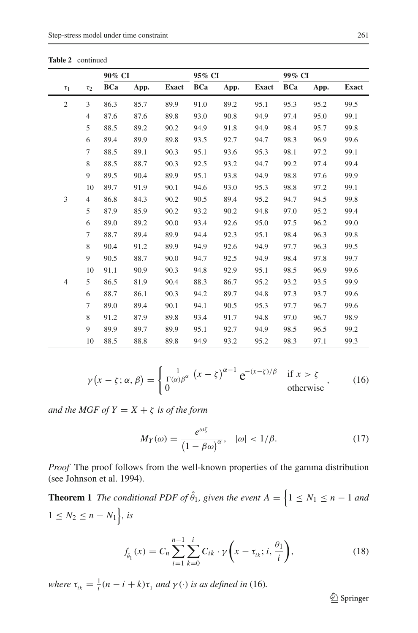|                |                | 90% CI     |      |              | 95% CI     |      |              | 99% CI     |      |              |
|----------------|----------------|------------|------|--------------|------------|------|--------------|------------|------|--------------|
| $\tau_1$       | $\tau_2$       | <b>BCa</b> | App. | <b>Exact</b> | <b>BCa</b> | App. | <b>Exact</b> | <b>BCa</b> | App. | <b>Exact</b> |
| $\overline{c}$ | 3              | 86.3       | 85.7 | 89.9         | 91.0       | 89.2 | 95.1         | 95.3       | 95.2 | 99.5         |
|                | $\overline{4}$ | 87.6       | 87.6 | 89.8         | 93.0       | 90.8 | 94.9         | 97.4       | 95.0 | 99.1         |
|                | 5              | 88.5       | 89.2 | 90.2         | 94.9       | 91.8 | 94.9         | 98.4       | 95.7 | 99.8         |
|                | 6              | 89.4       | 89.9 | 89.8         | 93.5       | 92.7 | 94.7         | 98.3       | 96.9 | 99.6         |
|                | $\tau$         | 88.5       | 89.1 | 90.3         | 95.1       | 93.6 | 95.3         | 98.1       | 97.2 | 99.1         |
|                | 8              | 88.5       | 88.7 | 90.3         | 92.5       | 93.2 | 94.7         | 99.2       | 97.4 | 99.4         |
|                | 9              | 89.5       | 90.4 | 89.9         | 95.1       | 93.8 | 94.9         | 98.8       | 97.6 | 99.9         |
|                | 10             | 89.7       | 91.9 | 90.1         | 94.6       | 93.0 | 95.3         | 98.8       | 97.2 | 99.1         |
| 3              | $\overline{4}$ | 86.8       | 84.3 | 90.2         | 90.5       | 89.4 | 95.2         | 94.7       | 94.5 | 99.8         |
|                | 5              | 87.9       | 85.9 | 90.2         | 93.2       | 90.2 | 94.8         | 97.0       | 95.2 | 99.4         |
|                | 6              | 89.0       | 89.2 | 90.0         | 93.4       | 92.6 | 95.0         | 97.5       | 96.2 | 99.0         |
|                | 7              | 88.7       | 89.4 | 89.9         | 94.4       | 92.3 | 95.1         | 98.4       | 96.3 | 99.8         |
|                | 8              | 90.4       | 91.2 | 89.9         | 94.9       | 92.6 | 94.9         | 97.7       | 96.3 | 99.5         |
|                | 9              | 90.5       | 88.7 | 90.0         | 94.7       | 92.5 | 94.9         | 98.4       | 97.8 | 99.7         |
|                | 10             | 91.1       | 90.9 | 90.3         | 94.8       | 92.9 | 95.1         | 98.5       | 96.9 | 99.6         |
| $\overline{4}$ | 5              | 86.5       | 81.9 | 90.4         | 88.3       | 86.7 | 95.2         | 93.2       | 93.5 | 99.9         |
|                | 6              | 88.7       | 86.1 | 90.3         | 94.2       | 89.7 | 94.8         | 97.3       | 93.7 | 99.6         |
|                | 7              | 89.0       | 89.4 | 90.1         | 94.1       | 90.5 | 95.3         | 97.7       | 96.7 | 99.6         |
|                | 8              | 91.2       | 87.9 | 89.8         | 93.4       | 91.7 | 94.8         | 97.0       | 96.7 | 98.9         |
|                | 9              | 89.9       | 89.7 | 89.9         | 95.1       | 92.7 | 94.9         | 98.5       | 96.5 | 99.2         |
|                | 10             | 88.5       | 88.8 | 89.8         | 94.9       | 93.2 | 95.2         | 98.3       | 97.1 | 99.3         |

$$
\gamma(x - \zeta; \alpha, \beta) = \begin{cases} \frac{1}{\Gamma(\alpha)\beta^{\alpha}} (x - \zeta)^{\alpha - 1} e^{-(x - \zeta)/\beta} & \text{if } x > \zeta \\ 0 & \text{otherwise} \end{cases}
$$
 (16)

*and the MGF of*  $Y = X + \zeta$  *is of the form* 

$$
M_Y(\omega) = \frac{e^{\omega \zeta}}{\left(1 - \beta \omega\right)^{\alpha}}, \quad |\omega| < 1/\beta. \tag{17}
$$

*Proof* The proof follows from the well-known properties of the gamma distribution (see Johnson et al. 1994).

**Theorem 1** *The conditional PDF of*  $\hat{\theta}_1$ , given the event  $A = \{1 \leq N_1 \leq n-1 \text{ and } n\}$  $1 \leq N_2 \leq n - N_1$ , *is* 

$$
f_{\hat{\theta}_1}(x) = C_n \sum_{i=1}^{n-1} \sum_{k=0}^{i} C_{ik} \cdot \gamma \left(x - \tau_{ik}; i, \frac{\theta_1}{i}\right),\tag{18}
$$

<span id="page-10-0"></span>*where*  $\tau_{ik} = \frac{1}{i}(n - i + k)\tau_1$  *and*  $\gamma(\cdot)$  *is as defined in* (16)*.* 

 $\mathcal{D}$  Springer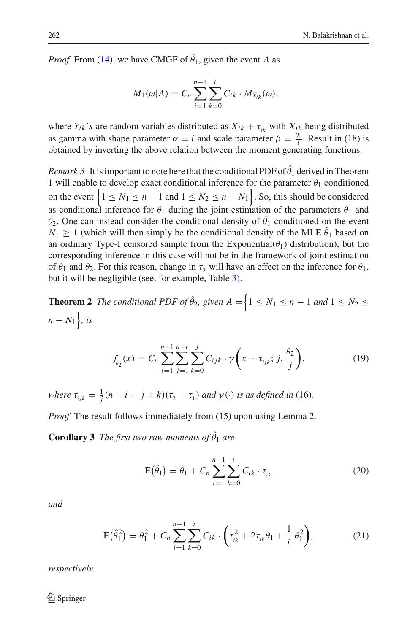*Proof* From [\(14\)](#page-6-1), we have CMGF of  $\hat{\theta}_1$ , given the event *A* as

$$
M_1(\omega|A) = C_n \sum_{i=1}^{n-1} \sum_{k=0}^{i} C_{ik} \cdot M_{Y_{ik}}(\omega),
$$

where  $Y_{ik}$ 's are random variables distributed as  $X_{ik} + \tau_{ik}$  with  $X_{ik}$  being distributed as gamma with shape parameter  $\alpha = i$  and scale parameter  $\beta = \frac{\theta_1}{i}$ . Result in (18) is obtained by inverting the above relation between the moment generating functions.

*Remark 3* It is important to note here that the conditional PDF of  $\hat{\theta}_1$  derived in Theorem 1 will enable to develop exact conditional inference for the parameter  $\theta_1$  conditioned on the event  $\left\{1 \leq N_1 \leq n-1 \text{ and } 1 \leq N_2 \leq n-N_1\right\}$ . So, this should be considered as conditional inference for  $\theta_1$  during the joint estimation of the parameters  $\theta_1$  and  $\theta_2$ . One can instead consider the conditional density of  $\hat{\theta}_1$  conditioned on the event  $N_1 \geq 1$  (which will then simply be the conditional density of the MLE  $\hat{\theta}_1$  based on an ordinary Type-I censored sample from the  $Exponential(\theta_1)$  distribution), but the corresponding inference in this case will not be in the framework of joint estimation of  $\theta_1$  and  $\theta_2$ . For this reason, change in  $\tau$ , will have an effect on the inference for  $\theta_1$ , but it will be negligible (see, for example, Table [3\)](#page-20-0).

**Theorem 2** *The conditional PDF of*  $\hat{\theta}_2$ , given  $A = \{1 \leq N_1 \leq n - 1 \text{ and } 1 \leq N_2 \leq n\}$  $n - N_1$ , *is* 

$$
f_{\hat{\theta}_2}(x) = C_n \sum_{i=1}^{n-1} \sum_{j=1}^{n-i} \sum_{k=0}^j C_{ijk} \cdot \gamma \left(x - \tau_{ijk}; j, \frac{\theta_2}{j}\right),\tag{19}
$$

<span id="page-11-0"></span>*where*  $\tau_{ijk} = \frac{1}{j}(n - i - j + k)(\tau_2 - \tau_1)$  *and*  $\gamma(\cdot)$  *is as defined in* (16)*.* 

*Proof* The result follows immediately from (15) upon using Lemma 2.

**Corollary 3** *The first two raw moments of*  $\hat{\theta}_1$  *are* 

$$
E(\hat{\theta}_1) = \theta_1 + C_n \sum_{i=1}^{n-1} \sum_{k=0}^{i} C_{ik} \cdot \tau_{ik}
$$
 (20)

<span id="page-11-1"></span>*and*

$$
E(\hat{\theta}_1^2) = \theta_1^2 + C_n \sum_{i=1}^{n-1} \sum_{k=0}^i C_{ik} \cdot \left(\tau_{ik}^2 + 2\tau_{ik}\theta_1 + \frac{1}{i}\theta_1^2\right),\tag{21}
$$

*respectively.*

 $\circled{2}$  Springer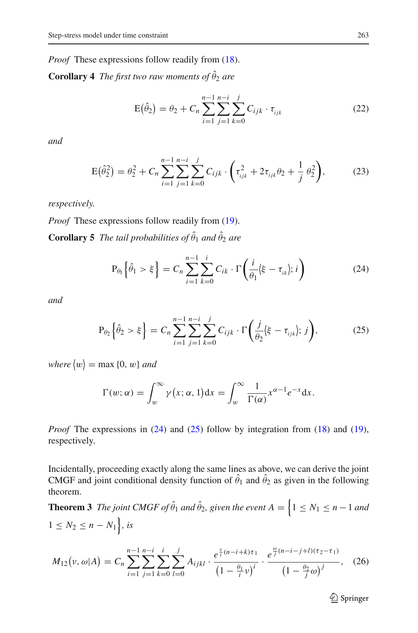*Proof* These expressions follow readily from [\(18\)](#page-10-0).

<span id="page-12-3"></span>**Corollary 4** *The first two raw moments of*  $\hat{\theta}_2$  *are* 

$$
E(\hat{\theta}_2) = \theta_2 + C_n \sum_{i=1}^{n-1} \sum_{j=1}^{n-i} \sum_{k=0}^j C_{ijk} \cdot \tau_{ijk}
$$
 (22)

<span id="page-12-4"></span>*and*

$$
E(\hat{\theta}_2^2) = \theta_2^2 + C_n \sum_{i=1}^{n-1} \sum_{j=1}^{n-i} \sum_{k=0}^j C_{ijk} \cdot \left( \tau_{ijk}^2 + 2\tau_{ijk}\theta_2 + \frac{1}{j}\theta_2^2 \right),
$$
 (23)

*respectively.*

*Proof* These expressions follow readily from [\(19\)](#page-11-0). **Corollary 5** *The tail probabilities of*  $\hat{\theta}_1$  *and*  $\hat{\theta}_2$  *are* 

$$
\mathrm{P}_{\theta_1}\Big\{\hat{\theta}_1>\xi\Big\}=C_n\sum_{i=1}^{n-1}\sum_{k=0}^i C_{ik}\cdot\Gamma\bigg(\frac{i}{\theta_1}\big|\xi-\tau_{ik}\big);i\bigg)
$$

*k*=0

*i*=1

<span id="page-12-1"></span><span id="page-12-0"></span>*and*

$$
P_{\theta_2}\left\{\hat{\theta}_2 > \xi\right\} = C_n \sum_{i=1}^{n-1} \sum_{j=1}^{n-i} \sum_{k=0}^j C_{ijk} \cdot \Gamma\left(\frac{j}{\theta_2} \xi - \tau_{ijk}; j\right),\tag{25}
$$

 $where \langle w \rangle = \max \{0, w\}$  and

$$
\Gamma(w; \alpha) = \int_{w}^{\infty} \gamma(x; \alpha, 1) dx = \int_{w}^{\infty} \frac{1}{\Gamma(\alpha)} x^{\alpha - 1} e^{-x} dx.
$$

*Proof* The expressions in [\(24\)](#page-12-0) and [\(25\)](#page-12-1) follow by integration from [\(18\)](#page-10-0) and [\(19\)](#page-11-0), respectively.

Incidentally, proceeding exactly along the same lines as above, we can derive the joint CMGF and joint conditional density function of  $\hat{\theta}_1$  and  $\hat{\theta}_2$  as given in the following theorem.

**Theorem 3** *The joint CMGF of*  $\hat{\theta}_1$  *and*  $\hat{\theta}_2$ *, given the event*  $A = \{1 \leq N_1 \leq n-1$  *and*  $1 \leq N_2 \leq n - N_1$ , *is* 

<span id="page-12-2"></span>
$$
M_{12}(\nu,\omega|A) = C_n \sum_{i=1}^{n-1} \sum_{j=1}^{n-i} \sum_{k=0}^{i} \sum_{l=0}^{j} A_{ijkl} \cdot \frac{e^{\frac{\nu}{i}(n-i+k)\tau_1}}{(1-\frac{\theta_1}{i}\nu)^i} \cdot \frac{e^{\frac{\omega}{j}(n-i-j+l)(\tau_2-\tau_1)}}{(1-\frac{\theta_2}{j}\omega)^j},
$$
 (26)

<sup>2</sup> Springer

(24)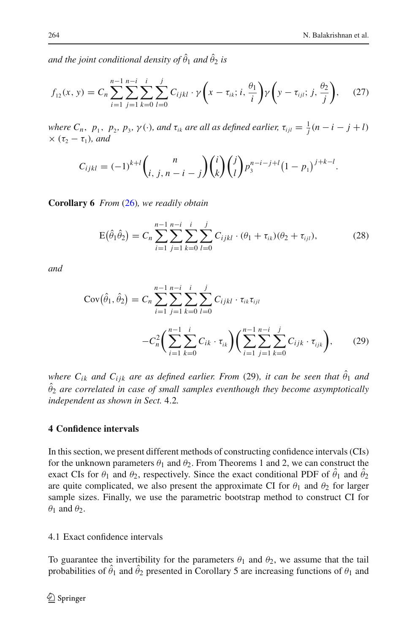and the joint conditional density of  $\hat{\theta}_1$  and  $\hat{\theta}_2$  is

$$
f_{12}(x, y) = C_n \sum_{i=1}^{n-1} \sum_{j=1}^{n-i} \sum_{k=0}^{i} \sum_{l=0}^{j} C_{ijkl} \cdot \gamma \left(x - \tau_{ik}; i, \frac{\theta_1}{i}\right) \gamma \left(y - \tau_{ijl}; j, \frac{\theta_2}{j}\right), \quad (27)
$$

*where*  $C_n$ ,  $p_1$ ,  $p_2$ ,  $p_3$ ,  $\gamma$  (·), and  $\tau_{ik}$  are all as defined earlier,  $\tau_{ijl} = \frac{1}{j}(n-i-j+l)$  $\times$  ( $\tau_2 - \tau_1$ )*, and* 

$$
C_{ijkl} = (-1)^{k+l} \binom{n}{i, j, n-i-j} \binom{i}{k} \binom{j}{l} p_3^{n-i-j+l} (1-p_1)^{j+k-l}.
$$

**Corollary 6** *From* [\(26\)](#page-12-2)*, we readily obtain*

$$
E(\hat{\theta}_1 \hat{\theta}_2) = C_n \sum_{i=1}^{n-1} \sum_{j=1}^{n-i} \sum_{k=0}^i \sum_{l=0}^j C_{ijkl} \cdot (\theta_1 + \tau_{ik})(\theta_2 + \tau_{ijl}), \qquad (28)
$$

*and*

$$
Cov(\hat{\theta}_1, \hat{\theta}_2) = C_n \sum_{i=1}^{n-1} \sum_{j=1}^{n-i} \sum_{k=0}^i \sum_{l=0}^j C_{ijkl} \cdot \tau_{ik} \tau_{ijl}
$$

$$
-C_n^2 \left( \sum_{i=1}^{n-1} \sum_{k=0}^i C_{ik} \cdot \tau_{ik} \right) \left( \sum_{i=1}^{n-1} \sum_{j=1}^{n-i} \sum_{k=0}^j C_{ijk} \cdot \tau_{ijk} \right), \qquad (29)
$$

 $\omega$  *where*  $C_{ik}$  *and*  $C_{ijk}$  *are as defined earlier. From* (29), *it can be seen that*  $\hat{\theta}_1$  *and*  $\hat{\theta}_2$  are correlated in case of small samples eventhough they become asymptotically *independent as shown in Sect.* 4.2*.*

# **4 Confidence intervals**

In this section, we present different methods of constructing confidence intervals (CIs) for the unknown parameters  $\theta_1$  and  $\theta_2$ . From Theorems 1 and 2, we can construct the exact CIs for  $\theta_1$  and  $\theta_2$ , respectively. Since the exact conditional PDF of  $\hat{\theta}_1$  and  $\hat{\theta}_2$ are quite complicated, we also present the approximate CI for  $\theta_1$  and  $\theta_2$  for larger sample sizes. Finally, we use the parametric bootstrap method to construct CI for  $\theta_1$  and  $\theta_2$ .

4.1 Exact confidence intervals

To guarantee the invertibility for the parameters  $\theta_1$  and  $\theta_2$ , we assume that the tail probabilities of  $\hat{\theta}_1$  and  $\hat{\theta}_2$  presented in Corollary 5 are increasing functions of  $\theta_1$  and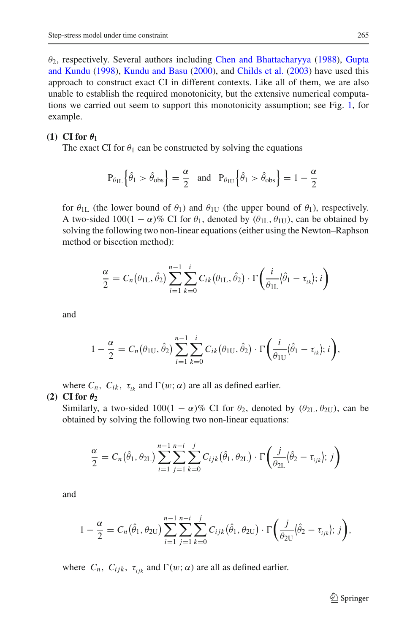$\theta_2$ , respect[ively.](#page-22-15) [Several](#page-22-15) [authors](#page-22-15) [including](#page-22-15) [Chen and Bhattacharyya](#page-22-14) [\(1988](#page-22-14)), Gupta and Kundu [\(1998](#page-22-15)), [Kundu and Basu](#page-22-16) [\(2000](#page-22-16)), and [Childs et al.](#page-22-17) [\(2003\)](#page-22-17) have used this approach to construct exact CI in different contexts. Like all of them, we are also unable to establish the required monotonicity, but the extensive numerical computations we carried out seem to support this monotonicity assumption; see Fig. [1,](#page-15-0) for example.

#### **(1)** CI for  $\theta_1$

The exact CI for  $\theta_1$  can be constructed by solving the equations

$$
P_{\theta_{1L}}\left\{\hat{\theta}_1 > \hat{\theta}_{obs}\right\} = \frac{\alpha}{2} \text{ and } P_{\theta_{1U}}\left\{\hat{\theta}_1 > \hat{\theta}_{obs}\right\} = 1 - \frac{\alpha}{2}
$$

for  $\theta_{\text{IL}}$  (the lower bound of  $\theta_1$ ) and  $\theta_{\text{IU}}$  (the upper bound of  $\theta_1$ ), respectively. A two-sided  $100(1 - \alpha)\%$  CI for  $\theta_1$ , denoted by  $(\theta_{II}, \theta_{III})$ , can be obtained by solving the following two non-linear equations (either using the Newton–Raphson method or bisection method):

$$
\frac{\alpha}{2} = C_n(\theta_{\text{1L}}, \hat{\theta}_2) \sum_{i=1}^{n-1} \sum_{k=0}^i C_{ik}(\theta_{\text{1L}}, \hat{\theta}_2) \cdot \Gamma\left(\frac{i}{\theta_{\text{1L}}}(\hat{\theta}_1 - \tau_{ik}); i\right)
$$

and

$$
1-\frac{\alpha}{2}=C_n(\theta_{1U},\hat{\theta}_2)\sum_{i=1}^{n-1}\sum_{k=0}^i C_{ik}(\theta_{1U},\hat{\theta}_2)\cdot\Gamma\bigg(\frac{i}{\theta_{1U}}\big|\hat{\theta}_1-\tau_{ik}\big);i\bigg),\,
$$

where  $C_n$ ,  $C_{ik}$ ,  $\tau_{ik}$  and  $\Gamma(w; \alpha)$  are all as defined earlier.

#### **(2)** CI for  $\theta_2$

Similarly, a two-sided  $100(1 - \alpha)\%$  CI for  $\theta_2$ , denoted by  $(\theta_{2L}, \theta_{2U})$ , can be obtained by solving the following two non-linear equations:

$$
\frac{\alpha}{2}=C_n(\hat{\theta}_1,\theta_{2L})\sum_{i=1}^{n-1}\sum_{j=1}^{n-i}\sum_{k=0}^j C_{ijk}(\hat{\theta}_1,\theta_{2L})\cdot\Gamma\bigg(\frac{j}{\theta_{2L}}\bigg|\hat{\theta}_2-\tau_{ijk}\bigg);j\bigg)
$$

and

$$
1 - \frac{\alpha}{2} = C_n(\hat{\theta}_1, \theta_{2U}) \sum_{i=1}^{n-1} \sum_{j=1}^{n-i} \sum_{k=0}^j C_{ijk}(\hat{\theta}_1, \theta_{2U}) \cdot \Gamma\left(\frac{j}{\theta_{2U}}\left|\hat{\theta}_2 - \tau_{ijk}\right|; j\right),
$$

where  $C_n$ ,  $C_{ijk}$ ,  $\tau_{ijk}$  and  $\Gamma(w; \alpha)$  are all as defined earlier.

 $\mathcal{D}$  Springer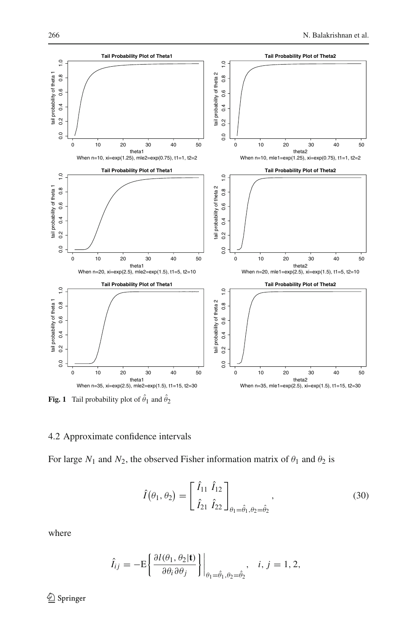

<span id="page-15-0"></span>**Fig. 1** Tail probability plot of  $\hat{\theta}_1$  and  $\hat{\theta}_2$ 

## 4.2 Approximate confidence intervals

For large  $N_1$  and  $N_2$ , the observed Fisher information matrix of  $\theta_1$  and  $\theta_2$  is

$$
\hat{I}(\theta_1, \theta_2) = \begin{bmatrix} \hat{I}_{11} & \hat{I}_{12} \\ \hat{I}_{21} & \hat{I}_{22} \end{bmatrix}_{\theta_1 = \hat{\theta}_1, \theta_2 = \hat{\theta}_2},
$$
\n(30)

where

$$
\hat{I}_{ij} = -\mathrm{E}\left\{\frac{\partial l(\theta_1, \theta_2 | \mathbf{t})}{\partial \theta_i \partial \theta_j}\right\}\bigg|_{\theta_1 = \hat{\theta}_1, \theta_2 = \hat{\theta}_2}, \quad i, j = 1, 2,
$$

<sup>2</sup> Springer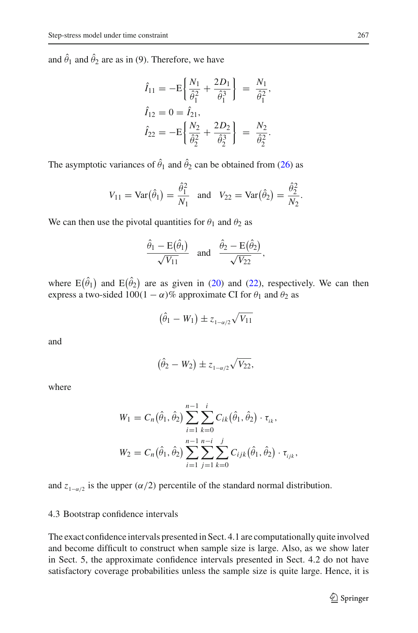and  $\hat{\theta}_1$  and  $\hat{\theta}_2$  are as in (9). Therefore, we have

$$
\hat{I}_{11} = -E \left\{ \frac{N_1}{\hat{\theta}_1^2} + \frac{2D_1}{\hat{\theta}_1^3} \right\} = \frac{N_1}{\hat{\theta}_1^2},
$$
\n
$$
\hat{I}_{12} = 0 = \hat{I}_{21},
$$
\n
$$
\hat{I}_{22} = -E \left\{ \frac{N_2}{\hat{\theta}_2^2} + \frac{2D_2}{\hat{\theta}_2^3} \right\} = \frac{N_2}{\hat{\theta}_2^2}.
$$

The asymptotic variances of  $\hat{\theta}_1$  and  $\hat{\theta}_2$  can be obtained from [\(26\)](#page-12-2) as

$$
V_{11} = \text{Var}(\hat{\theta}_1) = \frac{\hat{\theta}_1^2}{N_1}
$$
 and  $V_{22} = \text{Var}(\hat{\theta}_2) = \frac{\hat{\theta}_2^2}{N_2}$ .

We can then use the pivotal quantities for  $\theta_1$  and  $\theta_2$  as

$$
\frac{\hat{\theta}_1 - \mathrm{E}(\hat{\theta}_1)}{\sqrt{V_{11}}} \quad \text{and} \quad \frac{\hat{\theta}_2 - \mathrm{E}(\hat{\theta}_2)}{\sqrt{V_{22}}},
$$

where  $E(\hat{\theta}_1)$  and  $E(\hat{\theta}_2)$  are as given in [\(20\)](#page-11-1) and [\(22\)](#page-12-3), respectively. We can then express a two-sided  $100(1 - \alpha)\%$  approximate CI for  $\theta_1$  and  $\theta_2$  as

$$
(\hat{\theta}_1 - W_1) \pm z_{1-\alpha/2} \sqrt{V_{11}}
$$

and

$$
(\hat{\theta}_2-W_2)\pm z_{1-\alpha/2}\sqrt{V_{22}},
$$

where

$$
W_1 = C_n(\hat{\theta}_1, \hat{\theta}_2) \sum_{i=1}^{n-1} \sum_{k=0}^i C_{ik}(\hat{\theta}_1, \hat{\theta}_2) \cdot \tau_{ik},
$$
  

$$
W_2 = C_n(\hat{\theta}_1, \hat{\theta}_2) \sum_{i=1}^{n-1} \sum_{j=1}^{n-i} \sum_{k=0}^j C_{ijk}(\hat{\theta}_1, \hat{\theta}_2) \cdot \tau_{ijk},
$$

and *z*<sub>1− $\alpha$ /2 is the upper ( $\alpha$ /2) percentile of the standard normal distribution.</sub>

### 4.3 Bootstrap confidence intervals

The exact confidence intervals presented in Sect. 4.1 are computationally quite involved and become difficult to construct when sample size is large. Also, as we show later in Sect. 5, the approximate confidence intervals presented in Sect. 4.2 do not have satisfactory coverage probabilities unless the sample size is quite large. Hence, it is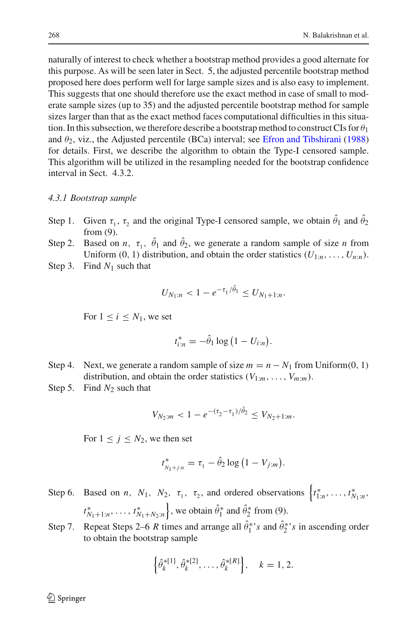naturally of interest to check whether a bootstrap method provides a good alternate for this purpose. As will be seen later in Sect. 5, the adjusted percentile bootstrap method proposed here does perform well for large sample sizes and is also easy to implement. This suggests that one should therefore use the exact method in case of small to moderate sample sizes (up to 35) and the adjusted percentile bootstrap method for sample sizes larger than that as the exact method faces computational difficulties in this situation. In this subsection, we therefore describe a bootstrap method to construct CIs for  $\theta_1$ and  $\theta_2$ , viz., the Adjusted percentile (BCa) interval; see [Efron and Tibshirani](#page-22-18) [\(1988\)](#page-22-18) for details. First, we describe the algorithm to obtain the Type-I censored sample. This algorithm will be utilized in the resampling needed for the bootstrap confidence interval in Sect. 4.3.2.

#### *4.3.1 Bootstrap sample*

- Step 1. Given  $\tau_1$ ,  $\tau_2$  and the original Type-I censored sample, we obtain  $\hat{\theta}_1$  and  $\hat{\theta}_2$ from (9).
- Step 2. Based on *n*,  $\tau_1$ ,  $\hat{\theta}_1$  and  $\hat{\theta}_2$ , we generate a random sample of size *n* from Uniform (0, 1) distribution, and obtain the order statistics  $(U_{1:n},..., U_{n:n})$ .
- Step 3. Find *N*<sup>1</sup> such that

$$
U_{N_1:n} < 1 - e^{-\tau_1/\hat{\theta}_1} \le U_{N_1+1:n}.
$$

For  $1 \leq i \leq N_1$ , we set

$$
t_{i:n}^* = -\hat{\theta}_1 \log \left(1 - U_{i:n}\right).
$$

- Step 4. Next, we generate a random sample of size  $m = n N_1$  from Uniform(0, 1) distribution, and obtain the order statistics  $(V_{1:m}, \ldots, V_{m:m})$ .
- Step 5. Find  $N_2$  such that

$$
V_{N_2:m} < 1 - e^{-(\tau_2 - \tau_1)/\hat{\theta}_2} \le V_{N_2 + 1:m}.
$$

For  $1 \leq j \leq N_2$ , we then set

$$
t_{N_1+j:n}^* = \tau_1 - \hat{\theta}_2 \log (1 - V_{j:m}).
$$

- Step 6. Based on *n*,  $N_1$ ,  $N_2$ ,  $\tau_1$ ,  $\tau_2$ , and ordered observations  $\begin{cases} t^*_{1:n}, \ldots, t^*_{N_1:n} \end{cases}$  $t_{N_1+1:n}^*$ , ...,  $t_{N_1+N_2:n}^*$ , we obtain  $\hat{\theta}_1^*$  and  $\hat{\theta}_2^*$  from (9).
- Step 7. Repeat Steps 2–6 *R* times and arrange all  $\hat{\theta}_1^{*}$ 's and  $\hat{\theta}_2^{*}$ 's in ascending order to obtain the bootstrap sample

$$
\left\{\hat{\theta}_k^{*[1]}, \hat{\theta}_k^{*[2]}, \dots, \hat{\theta}_k^{*[R]}\right\}, \quad k = 1, 2.
$$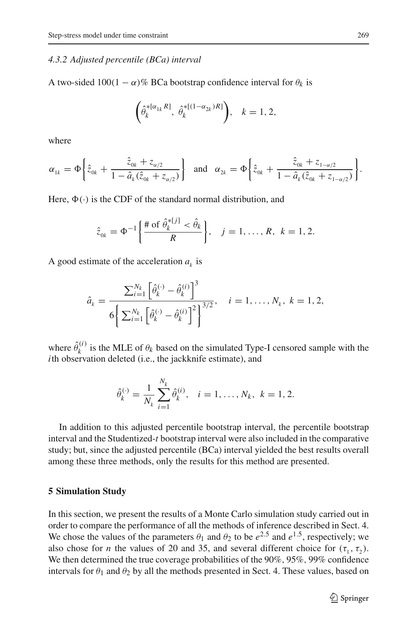#### *4.3.2 Adjusted percentile (BCa) interval*

A two-sided  $100(1 - \alpha)\%$  BCa bootstrap confidence interval for  $\theta_k$  is

$$
\left(\hat{\theta}_k^{*[\alpha_{1k}R]},\ \hat{\theta}_k^{*[(1-\alpha_{2k})R]}\right),\ \ k=1,2,
$$

where

$$
\alpha_{1k} = \Phi\bigg\{\hat{z}_{0k} + \frac{\hat{z}_{0k} + z_{\alpha/2}}{1 - \hat{a}_k(\hat{z}_{0k} + z_{\alpha/2})}\bigg\} \text{ and } \alpha_{2k} = \Phi\bigg\{\hat{z}_{0k} + \frac{\hat{z}_{0k} + z_{1-\alpha/2}}{1 - \hat{a}_k(\hat{z}_{0k} + z_{1-\alpha/2})}\bigg\}.
$$

Here,  $\Phi(\cdot)$  is the CDF of the standard normal distribution, and

$$
\hat{z}_{0k} = \Phi^{-1}\bigg\{\frac{\# \text{ of } \hat{\theta}_k^{*[j]} < \hat{\theta}_k}{R}\bigg\}, \quad j = 1, \dots, R, \ k = 1, 2.
$$

A good estimate of the acceleration  $a_k$  is

$$
\hat{a}_k = \frac{\sum_{i=1}^{N_k} \left[ \hat{\theta}_k^{(\cdot)} - \hat{\theta}_k^{(i)} \right]^3}{6 \left\{ \sum_{i=1}^{N_k} \left[ \hat{\theta}_k^{(\cdot)} - \hat{\theta}_k^{(i)} \right]^2 \right\}^{3/2}}, \quad i = 1, \dots, N_k, \ k = 1, 2,
$$

where  $\hat{\theta}_k^{(i)}$  is the MLE of  $\theta_k$  based on the simulated Type-I censored sample with the *i*th observation deleted (i.e., the jackknife estimate), and

$$
\hat{\theta}_k^{(\cdot)} = \frac{1}{N_k} \sum_{i=1}^{N_k} \hat{\theta}_k^{(i)}, \quad i = 1, \dots, N_k, \ k = 1, 2.
$$

In addition to this adjusted percentile bootstrap interval, the percentile bootstrap interval and the Studentized-*t* bootstrap interval were also included in the comparative study; but, since the adjusted percentile (BCa) interval yielded the best results overall among these three methods, only the results for this method are presented.

#### **5 Simulation Study**

In this section, we present the results of a Monte Carlo simulation study carried out in order to compare the performance of all the methods of inference described in Sect. 4. We chose the values of the parameters  $\theta_1$  and  $\theta_2$  to be  $e^{2.5}$  and  $e^{1.5}$ , respectively; we also chose for *n* the values of 20 and 35, and several different choice for  $(\tau_1, \tau_2)$ . We then determined the true coverage probabilities of the 90%, 95%, 99% confidence intervals for  $\theta_1$  and  $\theta_2$  by all the methods presented in Sect. 4. These values, based on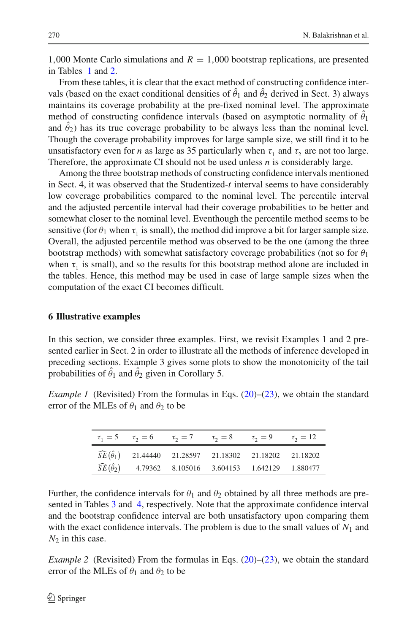1,000 Monte Carlo simulations and  $R = 1,000$  bootstrap replications, are presented in Tables [1](#page-7-0) and [2.](#page-9-0)

From these tables, it is clear that the exact method of constructing confidence intervals (based on the exact conditional densities of  $\hat{\theta}_1$  and  $\hat{\theta}_2$  derived in Sect. 3) always maintains its coverage probability at the pre-fixed nominal level. The approximate method of constructing confidence intervals (based on asymptotic normality of  $\hat{\theta}_1$ and  $\hat{\theta}_2$ ) has its true coverage probability to be always less than the nominal level. Though the coverage probability improves for large sample size, we still find it to be unsatisfactory even for *n* as large as 35 particularly when  $\tau_1$  and  $\tau_2$  are not too large. Therefore, the approximate CI should not be used unless *n* is considerably large.

Among the three bootstrap methods of constructing confidence intervals mentioned in Sect. 4, it was observed that the Studentized-*t* interval seems to have considerably low coverage probabilities compared to the nominal level. The percentile interval and the adjusted percentile interval had their coverage probabilities to be better and somewhat closer to the nominal level. Eventhough the percentile method seems to be sensitive (for  $\theta_1$  when  $\tau_1$  is small), the method did improve a bit for larger sample size. Overall, the adjusted percentile method was observed to be the one (among the three bootstrap methods) with somewhat satisfactory coverage probabilities (not so for  $\theta_1$ ) when  $\tau_1$  is small), and so the results for this bootstrap method alone are included in the tables. Hence, this method may be used in case of large sample sizes when the computation of the exact CI becomes difficult.

## **6 Illustrative examples**

In this section, we consider three examples. First, we revisit Examples 1 and 2 presented earlier in Sect. 2 in order to illustrate all the methods of inference developed in preceding sections. Example 3 gives some plots to show the monotonicity of the tail probabilities of  $\hat{\theta}_1$  and  $\hat{\theta}_2$  given in Corollary 5.

*Example 1* (Revisited) From the formulas in Eqs.  $(20)$ – $(23)$ , we obtain the standard error of the MLEs of  $\theta_1$  and  $\theta_2$  to be

| $\tau_1 = 5$ $\tau_2 = 6$ $\tau_3 = 7$ $\tau_2 = 8$ $\tau_3 = 9$ $\tau_1 = 12$ |  |  |
|--------------------------------------------------------------------------------|--|--|
| $\widehat{SE}(\hat{\theta}_1)$ 21.44440 21.28597 21.18302 21.18202 21.18202    |  |  |
| $\widehat{SE}(\hat{\theta}_2)$ 4.79362 8.105016 3.604153 1.642129 1.880477     |  |  |

Further, the confidence intervals for  $\theta_1$  and  $\theta_2$  obtained by all three methods are presented in Tables [3](#page-20-0) and [4,](#page-21-0) respectively. Note that the approximate confidence interval and the bootstrap confidence interval are both unsatisfactory upon comparing them with the exact confidence intervals. The problem is due to the small values of  $N_1$  and  $N_2$  in this case.

*Example 2* (Revisited) From the formulas in Eqs.  $(20)$ – $(23)$ , we obtain the standard error of the MLEs of  $\theta_1$  and  $\theta_2$  to be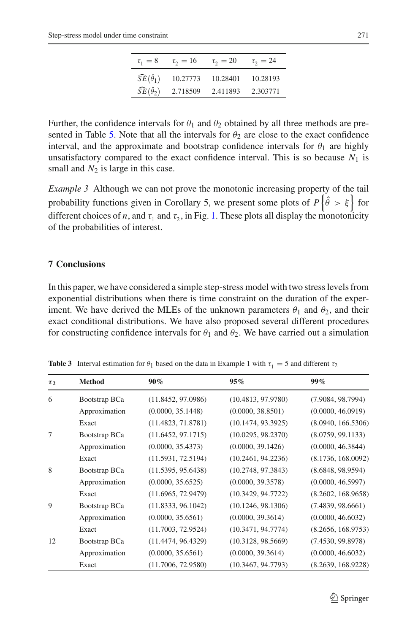| $\tau_1 = 8$                   | $\tau_2 = 16$ | $\tau_2 = 20$ | $\tau_2 = 24$ |
|--------------------------------|---------------|---------------|---------------|
| $\widehat{SE}(\hat{\theta}_1)$ | 10.27773      | 10.28401      | 10.28193      |
| $\widehat{SE}(\hat{\theta}_2)$ | 2.718509      | 2.411893      | 2.303771      |
|                                |               |               |               |

Further, the confidence intervals for  $\theta_1$  and  $\theta_2$  obtained by all three methods are pre-sented in Table [5.](#page-21-1) Note that all the intervals for  $\theta_2$  are close to the exact confidence interval, and the approximate and bootstrap confidence intervals for  $\theta_1$  are highly unsatisfactory compared to the exact confidence interval. This is so because  $N_1$  is small and  $N_2$  is large in this case.

*Example 3* Although we can not prove the monotonic increasing property of the tail probability functions given in Corollary 5, we present some plots of  $P\{\hat{\theta} > \xi\}$  for different choices of *n*, and  $\tau_1$  and  $\tau_2$ , in Fig. [1.](#page-15-0) These plots all display the monotonicity of the probabilities of interest.

# **7 Conclusions**

In this paper, we have considered a simple step-stress model with two stress levels from exponential distributions when there is time constraint on the duration of the experiment. We have derived the MLEs of the unknown parameters  $\theta_1$  and  $\theta_2$ , and their exact conditional distributions. We have also proposed several different procedures for constructing confidence intervals for  $\theta_1$  and  $\theta_2$ . We have carried out a simulation

<span id="page-20-0"></span>

| $\tau_2$ | <b>Method</b> | 90%                | 95%                | $99\%$             |
|----------|---------------|--------------------|--------------------|--------------------|
| 6        | Bootstrap BCa | (11.8452, 97.0986) | (10.4813, 97.9780) | (7.9084, 98.7994)  |
|          | Approximation | (0.0000, 35.1448)  | (0.0000, 38.8501)  | (0.0000, 46.0919)  |
|          | Exact         | (11.4823, 71.8781) | (10.1474, 93.3925) | (8.0940, 166.5306) |
| 7        | Bootstrap BCa | (11.6452, 97.1715) | (10.0295, 98.2370) | (8.0759, 99.1133)  |
|          | Approximation | (0.0000, 35.4373)  | (0.0000, 39.1426)  | (0.0000, 46.3844)  |
|          | Exact         | (11.5931, 72.5194) | (10.2461, 94.2236) | (8.1736, 168.0092) |
| 8        | Bootstrap BCa | (11.5395, 95.6438) | (10.2748, 97.3843) | (8.6848, 98.9594)  |
|          | Approximation | (0.0000, 35.6525)  | (0.0000, 39.3578)  | (0.0000, 46.5997)  |
|          | Exact         | (11.6965, 72.9479) | (10.3429, 94.7722) | (8.2602, 168.9658) |
| 9        | Bootstrap BCa | (11.8333, 96.1042) | (10.1246, 98.1306) | (7.4839, 98.6661)  |
|          | Approximation | (0.0000, 35.6561)  | (0.0000, 39.3614)  | (0.0000, 46.6032)  |
|          | Exact         | (11.7003, 72.9524) | (10.3471, 94.7774) | (8.2656, 168.9753) |
| 12       | Bootstrap BCa | (11.4474, 96.4329) | (10.3128, 98.5669) | (7.4530, 99.8978)  |
|          | Approximation | (0.0000, 35.6561)  | (0.0000, 39.3614)  | (0.0000, 46.6032)  |
|          | Exact         | (11.7006, 72.9580) | (10.3467, 94.7793) | (8.2639, 168.9228) |

**Table 3** Interval estimation for  $\theta_1$  based on the data in Example 1 with  $\tau_1 = 5$  and different  $\tau_2$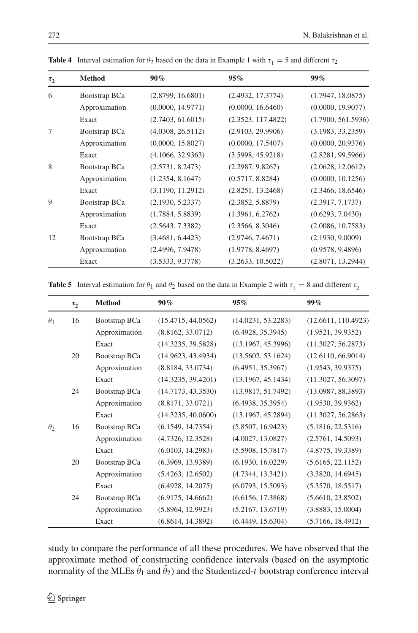<span id="page-21-0"></span>

| $\tau_2$ | <b>Method</b> | $90\%$            | 95%                | 99%                |
|----------|---------------|-------------------|--------------------|--------------------|
| 6        | Bootstrap BCa | (2.8799, 16.6801) | (2.4932, 17.3774)  | (1.7947, 18.0875)  |
|          | Approximation | (0.0000, 14.9771) | (0.0000, 16.6460)  | (0.0000, 19.9077)  |
|          | Exact         | (2.7403, 61.6015) | (2.3523, 117.4822) | (1.7900, 561.5936) |
| 7        | Bootstrap BCa | (4.0308, 26.5112) | (2.9103, 29.9906)  | (3.1983, 33.2359)  |
|          | Approximation | (0.0000, 15.8027) | (0.0000, 17.5407)  | (0.0000, 20.9376)  |
|          | Exact         | (4.1066, 32.9363) | (3.5998, 45.9218)  | (2.8281, 99.5966)  |
| 8        | Bootstrap BCa | (2.5731, 8.2473)  | (2.2987, 9.8267)   | (2.0628, 12.0612)  |
|          | Approximation | (1.2354, 8.1647)  | (0.5717, 8.8284)   | (0.0000, 10.1256)  |
|          | Exact         | (3.1190, 11.2912) | (2.8251, 13.2468)  | (2.3466, 18.6546)  |
| 9        | Bootstrap BCa | (2.1930, 5.2337)  | (2.3852, 5.8879)   | (2.3917, 7.1737)   |
|          | Approximation | (1.7884, 5.8839)  | (1.3961, 6.2762)   | (0.6293, 7.0430)   |
|          | Exact         | (2.5643, 7.3382)  | (2.3566, 8.3046)   | (2.0086, 10.7583)  |
| 12       | Bootstrap BCa | (3.4681, 6.4423)  | (2.9746, 7.4671)   | (2.1930, 9.0009)   |
|          | Approximation | (2.4996, 7.9478)  | (1.9778, 8.4697)   | (0.9578, 9.4896)   |
|          | Exact         | (3.5333, 9.3778)  | (3.2633, 10.5022)  | (2.8071, 13.2944)  |

**Table 4** Interval estimation for  $\theta_2$  based on the data in Example 1 with  $\tau_1 = 5$  and different  $\tau_2$ 

**Table 5** Interval estimation for  $\theta_1$  and  $\theta_2$  based on the data in Example 2 with  $\tau_1 = 8$  and different  $\tau_2$ 

<span id="page-21-1"></span>

|            | $\tau$ , | <b>Method</b> | $90\%$             | 95%                | $99\%$              |
|------------|----------|---------------|--------------------|--------------------|---------------------|
| $\theta_1$ | 16       | Bootstrap BCa | (15.4715, 44.0562) | (14.0231, 53.2283) | (12.6611, 110.4923) |
|            |          | Approximation | (8.8162, 33.0712)  | (6.4928, 35.3945)  | (1.9521, 39.9352)   |
|            |          | Exact         | (14.3235, 39.5828) | (13.1967, 45.3996) | (11.3027, 56.2873)  |
|            | 20       | Bootstrap BCa | (14.9623, 43.4934) | (13.5602, 53.1624) | (12.6110, 66.9014)  |
|            |          | Approximation | (8.8184, 33.0734)  | (6.4951, 35.3967)  | (1.9543, 39.9375)   |
|            |          | Exact         | (14.3235, 39.4201) | (13.1967, 45.1434) | (11.3027, 56.3097)  |
|            | 24       | Bootstrap BCa | (14.7173, 43.3530) | (13.9817, 51.7492) | (13.0987, 88.3893)  |
|            |          | Approximation | (8.8171, 33.0721)  | (6.4938, 35.3954)  | (1.9530, 39.9362)   |
|            |          | Exact         | (14.3235, 40.0600) | (13.1967, 45.2894) | (11.3027, 56.2863)  |
| $\theta_2$ | 16       | Bootstrap BCa | (6.1549, 14.7354)  | (5.8507, 16.9423)  | (5.1816, 22.5316)   |
|            |          | Approximation | (4.7326, 12.3528)  | (4.0027, 13.0827)  | (2.5761, 14.5093)   |
|            |          | Exact         | (6.0103, 14.2983)  | (5.5908, 15.7817)  | (4.8775, 19.3389)   |
|            | 20       | Bootstrap BCa | (6.3969, 13.9389)  | (6.1930, 16.0229)  | (5.6165, 22.1152)   |
|            |          | Approximation | (5.4263, 12.6502)  | (4.7344, 13.3421)  | (3.3820, 14.6945)   |
|            |          | Exact         | (6.4928, 14.2075)  | (6.0793, 15.5093)  | (5.3570, 18.5517)   |
|            | 24       | Bootstrap BCa | (6.9175, 14.6662)  | (6.6156, 17.3868)  | (5.6610, 23.8502)   |
|            |          | Approximation | (5.8964, 12.9923)  | (5.2167, 13.6719)  | (3.8883, 15.0004)   |
|            |          | Exact         | (6.8614, 14.3892)  | (6.4449, 15.6304)  | (5.7166, 18.4912)   |

study to compare the performance of all these procedures. We have observed that the approximate method of constructing confidence intervals (based on the asymptotic normality of the MLEs  $\hat{\theta}_1$  and  $\hat{\theta}_2$ ) and the Studentized-*t* bootstrap conference interval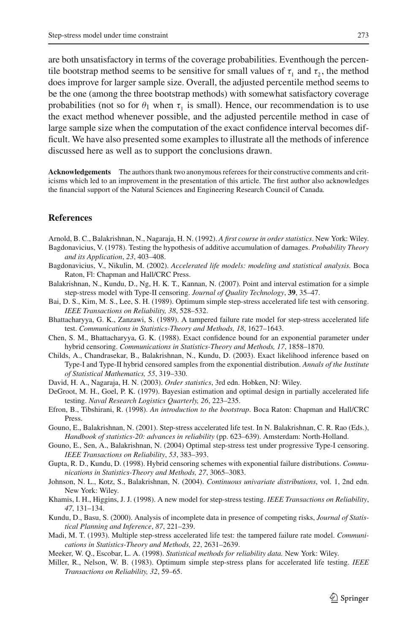are both unsatisfactory in terms of the coverage probabilities. Eventhough the percentile bootstrap method seems to be sensitive for small values of  $\tau_1$  and  $\tau_2$ , the method does improve for larger sample size. Overall, the adjusted percentile method seems to be the one (among the three bootstrap methods) with somewhat satisfactory coverage probabilities (not so for  $\theta_1$  when  $\tau_1$  is small). Hence, our recommendation is to use the exact method whenever possible, and the adjusted percentile method in case of large sample size when the computation of the exact confidence interval becomes difficult. We have also presented some examples to illustrate all the methods of inference discussed here as well as to support the conclusions drawn.

**Acknowledgements** The authors thank two anonymous referees for their constructive comments and criticisms which led to an improvement in the presentation of this article. The first author also acknowledges the financial support of the Natural Sciences and Engineering Research Council of Canada.

## **References**

- <span id="page-22-12"></span>Arnold, B. C., Balakrishnan, N., Nagaraja, H. N. (1992). *A first course in order statistics*. New York: Wiley.
- <span id="page-22-3"></span>Bagdonavicius, V. (1978). Testing the hypothesis of additive accumulation of damages. *Probability Theory and its Application*, *23*, 403–408.
- <span id="page-22-1"></span>Bagdonavicius, V., Nikulin, M. (2002). *Accelerated life models: modeling and statistical analysis.* Boca Raton, Fl: Chapman and Hall/CRC Press.
- <span id="page-22-9"></span>Balakrishnan, N., Kundu, D., Ng, H. K. T., Kannan, N. (2007). Point and interval estimation for a simple step-stress model with Type-II censoring. *Journal of Quality Technology*, **39**, 35–47.
- <span id="page-22-5"></span>Bai, D. S., Kim, M. S., Lee, S. H. (1989). Optimum simple step-stress accelerated life test with censoring. *IEEE Transactions on Reliability, 38*, 528–532.
- <span id="page-22-6"></span>Bhattacharyya, G. K., Zanzawi, S. (1989). A tampered failure rate model for step-stress accelerated life test. *Communications in Statistics-Theory and Methods, 18*, 1627–1643.
- <span id="page-22-14"></span>Chen, S. M., Bhattacharyya, G. K. (1988). Exact confidence bound for an exponential parameter under hybrid censoring. *Communications in Statistics-Theory and Methods, 17*, 1858–1870.
- <span id="page-22-17"></span>Childs, A., Chandrasekar, B., Balakrishnan, N., Kundu, D. (2003). Exact likelihood inference based on Type-I and Type-II hybrid censored samples from the exponential distribution. *Annals of the Institute of Statistical Mathematics, 55*, 319–330.
- <span id="page-22-13"></span>David, H. A., Nagaraja, H. N. (2003). *Order statistics*, 3rd edn. Hobken, NJ: Wiley.
- <span id="page-22-2"></span>DeGroot, M. H., Goel, P. K. (1979). Bayesian estimation and optimal design in partially accelerated life testing. *Naval Research Logistics Quarterly, 26*, 223–235.
- <span id="page-22-18"></span>Efron, B., Tibshirani, R. (1998). *An introduction to the bootstrap*. Boca Raton: Chapman and Hall/CRC Press.
- <span id="page-22-10"></span>Gouno, E., Balakrishnan, N. (2001). Step-stress accelerated life test. In N. Balakrishnan, C. R. Rao (Eds.), *Handbook of statistics-20: advances in reliability* (pp. 623–639). Amsterdam: North-Holland.
- <span id="page-22-11"></span>Gouno, E., Sen, A., Balakrishnan, N. (2004) Optimal step-stress test under progressive Type-I censoring. *IEEE Transactions on Reliability*, *53*, 383–393.
- <span id="page-22-15"></span>Gupta, R. D., Kundu, D. (1998). Hybrid censoring schemes with exponential failure distributions. *Communications in Statistics-Theory and Methods, 27*, 3065–3083.
- Johnson, N. L., Kotz, S., Balakrishnan, N. (2004). *Continuous univariate distributions*, vol. 1, 2nd edn. New York: Wiley.
- <span id="page-22-8"></span>Khamis, I. H., Higgins, J. J. (1998). A new model for step-stress testing. *IEEE Transactions on Reliability*, *47*, 131–134.
- <span id="page-22-16"></span>Kundu, D., Basu, S. (2000). Analysis of incomplete data in presence of competing risks, *Journal of Statistical Planning and Inference*, *87*, 221–239.
- <span id="page-22-7"></span>Madi, M. T. (1993). Multiple step-stress accelerated life test: the tampered failure rate model. *Communications in Statistics-Theory and Methods, 22*, 2631–2639.
- <span id="page-22-0"></span>Meeker, W. Q., Escobar, L. A. (1998). *Statistical methods for reliability data.* New York: Wiley.
- <span id="page-22-4"></span>Miller, R., Nelson, W. B. (1983). Optimum simple step-stress plans for accelerated life testing. *IEEE Transactions on Reliability, 32*, 59–65.